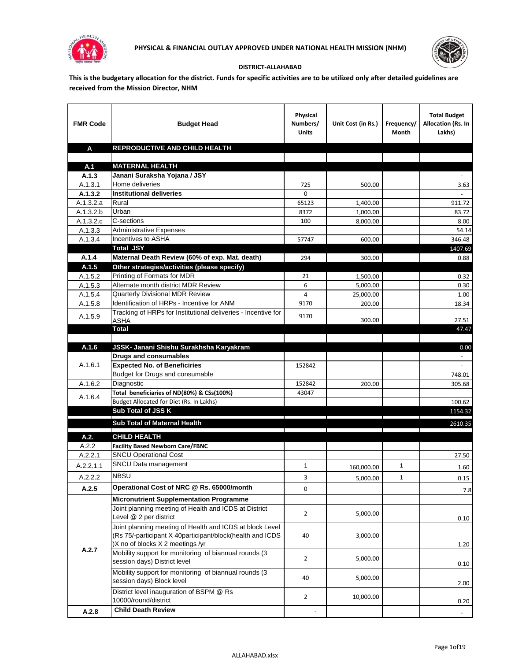



## **DISTRICT-ALLAHABAD**

**This is the budgetary allocation for the district. Funds for specific activities are to be utilized only after detailed guidelines are received from the Mission Director, NHM**

| <b>FMR Code</b>        | <b>Budget Head</b>                                                                                                                                        | Physical<br>Numbers/<br><b>Units</b> | Unit Cost (in Rs.)                                      | Frequency/<br>Month | <b>Total Budget</b><br><b>Allocation (Rs. In</b><br>Lakhs) |
|------------------------|-----------------------------------------------------------------------------------------------------------------------------------------------------------|--------------------------------------|---------------------------------------------------------|---------------------|------------------------------------------------------------|
| A                      | REPRODUCTIVE AND CHILD HEALTH                                                                                                                             |                                      |                                                         |                     |                                                            |
|                        |                                                                                                                                                           |                                      |                                                         |                     |                                                            |
| A.1                    | <b>MATERNAL HEALTH</b>                                                                                                                                    |                                      |                                                         |                     |                                                            |
| A.1.3                  | Janani Suraksha Yojana / JSY                                                                                                                              |                                      |                                                         |                     |                                                            |
| A.1.3.1                | Home deliveries                                                                                                                                           | 725                                  | 500.00                                                  |                     | 3.63                                                       |
| A.1.3.2                | <b>Institutional deliveries</b>                                                                                                                           | 0                                    |                                                         |                     |                                                            |
| A.1.3.2.a              | Rural                                                                                                                                                     | 65123                                | 1,400.00                                                |                     | 911.72                                                     |
| $\overline{A.1.3.2.b}$ | Urban                                                                                                                                                     | 8372                                 | 1,000.00                                                |                     | 83.72                                                      |
| A.1.3.2.c              | C-sections                                                                                                                                                | 100                                  | 8,000.00                                                |                     | 8.00                                                       |
| A.1.3.3                | <b>Administrative Expenses</b><br>Incentives to ASHA                                                                                                      |                                      |                                                         |                     | 54.14                                                      |
| A.1.3.4                | <b>Total JSY</b>                                                                                                                                          | 57747                                | 600.00                                                  |                     | 346.48<br>1407.69                                          |
| A.1.4                  | Maternal Death Review (60% of exp. Mat. death)                                                                                                            | 294                                  | 300.00                                                  |                     | 0.88                                                       |
| A.1.5                  | Other strategies/activities (please specify)                                                                                                              |                                      |                                                         |                     |                                                            |
| A.1.5.2                | Printing of Formats for MDR                                                                                                                               | 21                                   | 1,500.00                                                |                     | 0.32                                                       |
| A.1.5.3                | Alternate month district MDR Review                                                                                                                       | 6                                    | 5,000.00                                                |                     | 0.30                                                       |
| A.1.5.4                | Quarterly Divisional MDR Review                                                                                                                           | 4                                    | 25,000.00                                               |                     | 1.00                                                       |
| A.1.5.8                | Identification of HRPs - Incentive for ANM                                                                                                                | 9170                                 | 200.00                                                  |                     | 18.34                                                      |
|                        | Tracking of HRPs for Institutional deliveries - Incentive for                                                                                             |                                      |                                                         |                     |                                                            |
| A.1.5.9                | <b>ASHA</b>                                                                                                                                               | 9170                                 | 300.00                                                  |                     | 27.51                                                      |
|                        | Total                                                                                                                                                     |                                      |                                                         |                     | 47.47                                                      |
|                        |                                                                                                                                                           |                                      |                                                         |                     |                                                            |
| A.1.6                  | JSSK- Janani Shishu Surakhsha Karyakram                                                                                                                   |                                      |                                                         |                     | 0.00                                                       |
|                        | <b>Drugs and consumables</b>                                                                                                                              |                                      |                                                         |                     |                                                            |
| A.1.6.1                | <b>Expected No. of Beneficiries</b>                                                                                                                       | 152842                               |                                                         |                     | $\sim$                                                     |
|                        | Budget for Drugs and consumable                                                                                                                           |                                      |                                                         |                     | 748.01                                                     |
| A.1.6.2                | Diagnostic                                                                                                                                                | 152842                               | 200.00                                                  |                     | 305.68                                                     |
| A.1.6.4                | Total beneficiaries of ND(80%) & CSs(100%)                                                                                                                | 43047                                |                                                         |                     |                                                            |
|                        | Budget Allocated for Diet (Rs. In Lakhs)                                                                                                                  |                                      |                                                         |                     | 100.62                                                     |
|                        | Sub Total of JSS K                                                                                                                                        |                                      |                                                         |                     | 1154.32                                                    |
|                        | Sub Total of Maternal Health                                                                                                                              |                                      |                                                         |                     | 2610.35                                                    |
| A.2.                   | <b>CHILD HEALTH</b>                                                                                                                                       |                                      | <u> 1989 - Johann Stein, fransk politiker (d. 1989)</u> |                     |                                                            |
| A.2.2                  | <b>Facility Based Newborn Care/FBNC</b>                                                                                                                   |                                      |                                                         |                     |                                                            |
| A.2.2.1                | <b>SNCU Operational Cost</b>                                                                                                                              |                                      |                                                         |                     | 27.50                                                      |
| A.2.2.1.1              | SNCU Data management                                                                                                                                      | $\mathbf{1}$                         |                                                         | 1                   |                                                            |
|                        | <b>NBSU</b>                                                                                                                                               |                                      | 160,000.00                                              |                     | 1.60                                                       |
| A.2.2.2                |                                                                                                                                                           | 3                                    | 5,000.00                                                | 1                   | 0.15                                                       |
| A.2.5                  | Operational Cost of NRC @ Rs. 65000/month                                                                                                                 | 0                                    |                                                         |                     | 7.8                                                        |
|                        | <b>Micronutrient Supplementation Programme</b>                                                                                                            |                                      |                                                         |                     |                                                            |
|                        | Joint planning meeting of Health and ICDS at District<br>Level @ 2 per district                                                                           | $\overline{2}$                       | 5,000.00                                                |                     | 0.10                                                       |
|                        | Joint planning meeting of Health and ICDS at block Level<br>(Rs 75/-participant X 40participant/block(health and ICDS<br>)X no of blocks X 2 meetings /yr | 40                                   | 3,000.00                                                |                     | 1.20                                                       |
| A.2.7                  | Mobility support for monitoring of biannual rounds (3<br>session days) District level                                                                     | $\overline{2}$                       | 5,000.00                                                |                     | 0.10                                                       |
|                        | Mobility support for monitoring of biannual rounds (3<br>session days) Block level                                                                        | 40                                   | 5,000.00                                                |                     | 2.00                                                       |
|                        | District level inauguration of BSPM @ Rs<br>10000/round/district                                                                                          | $\overline{2}$                       | 10,000.00                                               |                     | 0.20                                                       |
| A.2.8                  | <b>Child Death Review</b>                                                                                                                                 |                                      |                                                         |                     | $\overline{\phantom{a}}$                                   |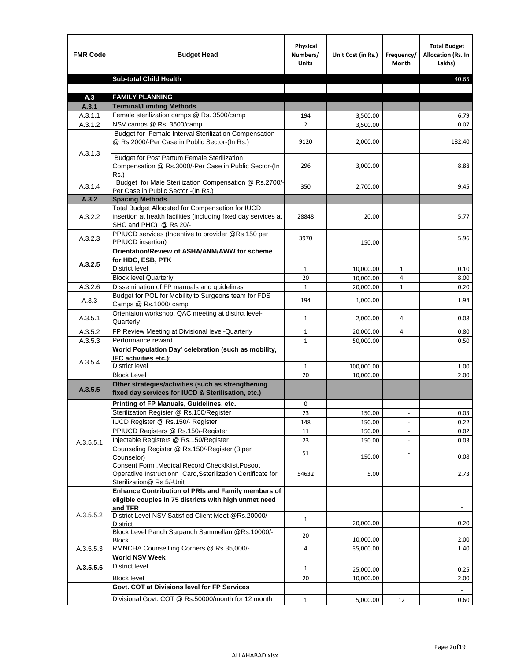| <b>FMR Code</b> | <b>Budget Head</b>                                                                                                                             | Physical<br>Numbers/<br><b>Units</b> | Unit Cost (in Rs.) | Frequency/<br><b>Month</b> | <b>Total Budget</b><br>Allocation (Rs. In<br>Lakhs) |
|-----------------|------------------------------------------------------------------------------------------------------------------------------------------------|--------------------------------------|--------------------|----------------------------|-----------------------------------------------------|
|                 | <b>Sub-total Child Health</b>                                                                                                                  |                                      |                    |                            | 40.65                                               |
|                 |                                                                                                                                                |                                      |                    |                            |                                                     |
| A.3             | <b>FAMILY PLANNING</b>                                                                                                                         |                                      |                    |                            |                                                     |
| A.3.1           | <b>Terminal/Limiting Methods</b>                                                                                                               |                                      |                    |                            |                                                     |
| A.3.1.1         | Female sterilization camps @ Rs. 3500/camp                                                                                                     | 194                                  | 3,500.00           |                            | 6.79                                                |
| A.3.1.2         | NSV camps @ Rs. 3500/camp<br>Budget for Female Interval Sterilization Compensation                                                             | $\overline{2}$                       | 3,500.00           |                            | 0.07                                                |
| A.3.1.3         | @ Rs.2000/-Per Case in Public Sector-(In Rs.)                                                                                                  | 9120                                 | 2,000.00           |                            | 182.40                                              |
|                 | <b>Budget for Post Partum Female Sterilization</b><br>Compensation @ Rs.3000/-Per Case in Public Sector-(In<br>$Rs.$ )                         | 296                                  | 3,000.00           |                            | 8.88                                                |
| A.3.1.4         | Budget for Male Sterilization Compensation @ Rs.2700/-<br>Per Case in Public Sector -(In Rs.)                                                  | 350                                  | 2,700.00           |                            | 9.45                                                |
| A.3.2           | <b>Spacing Methods</b>                                                                                                                         |                                      |                    |                            |                                                     |
| A.3.2.2         | Total Budget Allocated for Compensation for IUCD<br>insertion at health facilities (including fixed day services at<br>SHC and PHC) @ Rs 20/-  | 28848                                | 20.00              |                            | 5.77                                                |
| A.3.2.3         | PPIUCD services (Incentive to provider @Rs 150 per<br>PPIUCD insertion)                                                                        | 3970                                 | 150.00             |                            | 5.96                                                |
|                 | Orientation/Review of ASHA/ANM/AWW for scheme<br>for HDC, ESB, PTK                                                                             |                                      |                    |                            |                                                     |
| A.3.2.5         | <b>District level</b>                                                                                                                          | $\mathbf{1}$                         | 10,000.00          | $\mathbf{1}$               | 0.10                                                |
|                 | <b>Block level Quarterly</b>                                                                                                                   | 20                                   | 10,000.00          | 4                          | 8.00                                                |
| A.3.2.6         | Dissemination of FP manuals and guidelines                                                                                                     | $\mathbf{1}$                         | 20,000.00          | $\mathbf{1}$               | 0.20                                                |
| A.3.3           | Budget for POL for Mobility to Surgeons team for FDS<br>Camps @ Rs.1000/ camp                                                                  | 194                                  | 1,000.00           |                            | 1.94                                                |
| A.3.5.1         | Orientaion workshop, QAC meeting at distirct level-<br>Quarterly                                                                               | $\mathbf{1}$                         | 2,000.00           | 4                          | 0.08                                                |
| A.3.5.2         | FP Review Meeting at Divisional level-Quarterly                                                                                                | $\mathbf{1}$                         | 20,000.00          | 4                          | 0.80                                                |
| A.3.5.3         | Performance reward                                                                                                                             | $\mathbf{1}$                         | 50,000.00          |                            | 0.50                                                |
| A.3.5.4         | World Population Day' celebration (such as mobility,<br>IEC activities etc.):                                                                  |                                      |                    |                            |                                                     |
|                 | District level                                                                                                                                 | $\mathbf{1}$                         | 100,000.00         |                            | 1.00                                                |
|                 | <b>Block Level</b>                                                                                                                             | 20                                   | 10,000.00          |                            | 2.00                                                |
| A.3.5.5         | Other strategies/activities (such as strengthening<br>fixed day services for IUCD & Sterilisation, etc.)                                       |                                      |                    |                            |                                                     |
|                 | Printing of FP Manuals, Guidelines, etc.                                                                                                       | 0                                    |                    |                            |                                                     |
|                 | Sterilization Register @ Rs.150/Register                                                                                                       | 23                                   | 150.00             | $\overline{\phantom{a}}$   | 0.03                                                |
|                 | IUCD Register @ Rs.150/- Register                                                                                                              | 148                                  | 150.00             |                            | 0.22                                                |
|                 | PPIUCD Registers @ Rs.150/-Register                                                                                                            | 11                                   | 150.00             |                            | 0.02                                                |
| A.3.5.5.1       | Injectable Registers @ Rs.150/Register                                                                                                         | 23                                   | 150.00             |                            | 0.03                                                |
|                 | Counseling Register @ Rs.150/-Register (3 per<br>Counselor)                                                                                    | 51                                   | 150.00             |                            | 0.08                                                |
|                 | Consent Form , Medical Record CheckIklist, Posoot<br>Operatiive Instructionn Card, Ssterilization Certificate for<br>Sterilization@ Rs 5/-Unit | 54632                                | 5.00               |                            | 2.73                                                |
|                 | Enhance Contribution of PRIs and Family members of<br>eligible couples in 75 districts with high unmet need<br>and TFR                         |                                      |                    |                            |                                                     |
| A.3.5.5.2       | District Level NSV Satisfied Client Meet @Rs.20000/-<br>District                                                                               | $\mathbf{1}$                         | 20,000.00          |                            | 0.20                                                |
|                 | Block Level Panch Sarpanch Sammellan @Rs.10000/-<br><b>Block</b>                                                                               | 20                                   | 10,000.00          |                            | 2.00                                                |
| A.3.5.5.3       | RMNCHA Counsellling Corners @ Rs.35,000/-                                                                                                      | 4                                    | 35,000.00          |                            | 1.40                                                |
|                 | <b>World NSV Week</b>                                                                                                                          |                                      |                    |                            |                                                     |
| A.3.5.5.6       | <b>District level</b>                                                                                                                          | $\mathbf{1}$                         | 25,000.00          |                            | 0.25                                                |
|                 | <b>Block level</b>                                                                                                                             | 20                                   | 10,000.00          |                            | 2.00                                                |
|                 | Govt. COT at Divisions level for FP Services                                                                                                   |                                      |                    |                            |                                                     |
|                 | Divisional Govt. COT @ Rs.50000/month for 12 month                                                                                             | $\mathbf{1}$                         | 5,000.00           | 12                         | 0.60                                                |
|                 |                                                                                                                                                |                                      |                    |                            |                                                     |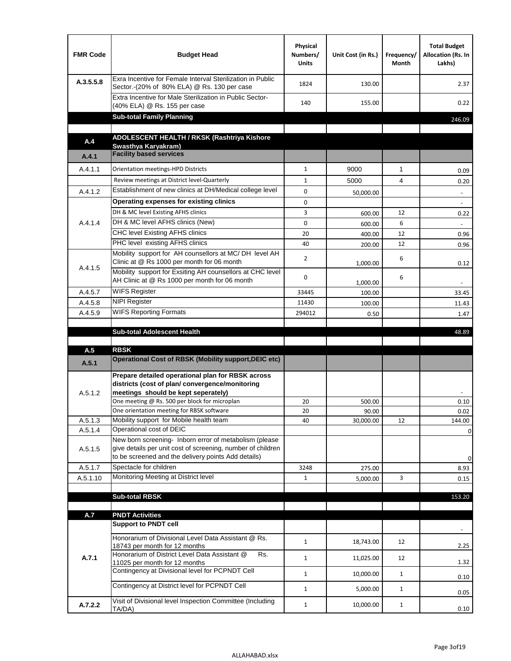| <b>FMR Code</b>    | <b>Budget Head</b>                                                                                                                                                                          | Physical<br>Numbers/<br><b>Units</b> | Unit Cost (in Rs.) | Frequency/<br><b>Month</b> | <b>Total Budget</b><br>Allocation (Rs. In<br>Lakhs) |
|--------------------|---------------------------------------------------------------------------------------------------------------------------------------------------------------------------------------------|--------------------------------------|--------------------|----------------------------|-----------------------------------------------------|
| A.3.5.5.8          | Exra Incentive for Female Interval Sterilization in Public<br>Sector.-(20% of 80% ELA) @ Rs. 130 per case                                                                                   | 1824                                 | 130.00             |                            | 2.37                                                |
|                    | Extra Incentive for Male Sterilization in Public Sector-<br>(40% ELA) @ Rs. 155 per case                                                                                                    | 140                                  | 155.00             |                            | 0.22                                                |
|                    | <b>Sub-total Family Planning</b>                                                                                                                                                            |                                      |                    |                            | 246.09                                              |
|                    | ADOLESCENT HEALTH / RKSK (Rashtriya Kishore                                                                                                                                                 |                                      |                    |                            |                                                     |
| A.4                | Swasthva Karvakram)                                                                                                                                                                         |                                      |                    |                            |                                                     |
| A.4.1              | <b>Facility based services</b>                                                                                                                                                              |                                      |                    |                            |                                                     |
| A.4.1.1            | Orientation meetings-HPD Districts                                                                                                                                                          | $\mathbf{1}$                         | 9000               | $\mathbf{1}$               | 0.09                                                |
|                    | Review meetings at District level-Quarterly                                                                                                                                                 | $\mathbf{1}$                         | 5000               | 4                          | 0.20                                                |
| A.4.1.2            | Establishment of new clinics at DH/Medical college level                                                                                                                                    | 0                                    | 50,000.00          |                            | $\overline{\phantom{a}}$                            |
|                    | Operating expenses for existing clinics                                                                                                                                                     | 0                                    |                    |                            |                                                     |
|                    | DH & MC level Existing AFHS clinics                                                                                                                                                         | 3                                    | 600.00             | 12                         | 0.22                                                |
| A.4.1.4            | DH & MC level AFHS clinics (New)                                                                                                                                                            | 0                                    | 600.00             | 6                          |                                                     |
|                    | CHC level Existing AFHS clinics                                                                                                                                                             | 20                                   | 400.00             | 12                         | 0.96                                                |
|                    | PHC level existing AFHS clinics                                                                                                                                                             | 40                                   | 200.00             | 12                         | 0.96                                                |
| A.4.1.5            | Mobility support for AH counsellors at MC/DH level AH<br>Clinic at @ Rs 1000 per month for 06 month                                                                                         | 2                                    | 1,000.00           | 6                          | 0.12                                                |
|                    | Mobility support for Exsiting AH counsellors at CHC level<br>AH Clinic at @ Rs 1000 per month for 06 month                                                                                  | 0                                    | 1,000.00           | 6                          | $\sim$                                              |
| A.4.5.7            | <b>WIFS Register</b>                                                                                                                                                                        | 33445                                | 100.00             |                            | 33.45                                               |
| A.4.5.8            | <b>NIPI Register</b>                                                                                                                                                                        | 11430                                | 100.00             |                            | 11.43                                               |
| A.4.5.9            | <b>WIFS Reporting Formats</b>                                                                                                                                                               | 294012                               | 0.50               |                            | 1.47                                                |
|                    | <b>Sub-total Adolescent Health</b>                                                                                                                                                          |                                      |                    |                            | 48.89                                               |
| A.5                | <b>RBSK</b>                                                                                                                                                                                 |                                      |                    |                            |                                                     |
| A.5.1              | <b>Operational Cost of RBSK (Mobility support, DEIC etc)</b>                                                                                                                                |                                      |                    |                            |                                                     |
| A.5.1.2            | Prepare detailed operational plan for RBSK across<br>districts (cost of plan/convergence/monitoring<br>meetings should be kept seperately)<br>One meeting @ Rs. 500 per block for microplan | 20                                   | 500.00             |                            | 0.10                                                |
|                    | One orientation meeting for RBSK software                                                                                                                                                   | 20                                   | 90.00              |                            | 0.02                                                |
| A.5.1.3            | Mobility support for Mobile health team                                                                                                                                                     | 40                                   | 30,000.00          | 12                         | 144.00                                              |
| A.5.1.4<br>A.5.1.5 | Operational cost of DEIC<br>New born screening- Inborn error of metabolism (please<br>give details per unit cost of screening, number of children                                           |                                      |                    |                            | $\mathbf 0$                                         |
|                    | to be screened and the delivery points Add details)                                                                                                                                         |                                      |                    |                            | 0                                                   |
| A.5.1.7            | Spectacle for children                                                                                                                                                                      | 3248                                 | 275.00             |                            | 8.93                                                |
| A.5.1.10           | Monitoring Meeting at District level                                                                                                                                                        | $\mathbf{1}$                         | 5,000.00           | 3                          | 0.15                                                |
|                    | <b>Sub-total RBSK</b>                                                                                                                                                                       |                                      |                    |                            | 153.20                                              |
|                    |                                                                                                                                                                                             |                                      |                    |                            |                                                     |
| A.7                | <b>PNDT Activities</b>                                                                                                                                                                      |                                      |                    |                            |                                                     |
|                    | <b>Support to PNDT cell</b>                                                                                                                                                                 |                                      |                    |                            |                                                     |
|                    | Honorarium of Divisional Level Data Assistant @ Rs.<br>18743 per month for 12 months                                                                                                        | $\mathbf{1}$                         | 18,743.00          | 12                         | 2.25                                                |
| A.7.1              | Honorarium of District Level Data Assistant @<br>Rs.                                                                                                                                        | $\mathbf{1}$                         | 11,025.00          | 12                         | 1.32                                                |
|                    | 11025 per month for 12 months<br>Contingency at Divisional level for PCPNDT Cell                                                                                                            | $\mathbf{1}$                         | 10,000.00          | $\mathbf{1}$               | 0.10                                                |
|                    | Contingency at District level for PCPNDT Cell                                                                                                                                               | $\mathbf{1}$                         | 5,000.00           | $\mathbf{1}$               | 0.05                                                |
|                    | Visit of Divisional level Inspection Committee (Including                                                                                                                                   |                                      |                    |                            |                                                     |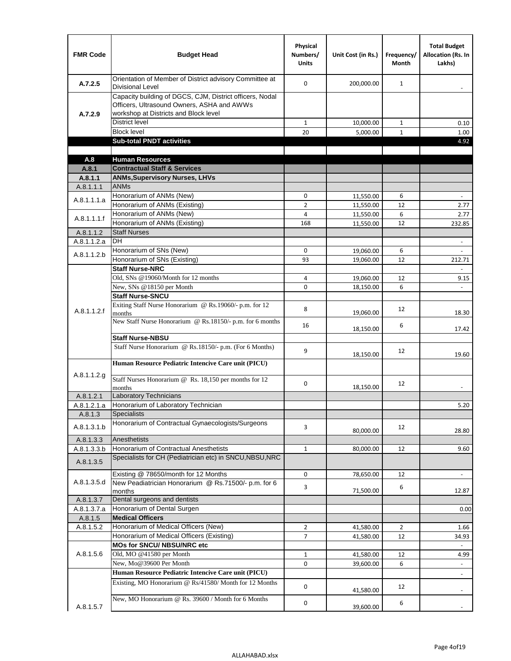| <b>FMR Code</b>      | <b>Budget Head</b>                                                                                                                              | Physical<br>Numbers/<br><b>Units</b> | Unit Cost (in Rs.)     | Frequency/<br><b>Month</b> | <b>Total Budget</b><br><b>Allocation (Rs. In</b><br>Lakhs) |
|----------------------|-------------------------------------------------------------------------------------------------------------------------------------------------|--------------------------------------|------------------------|----------------------------|------------------------------------------------------------|
| A.7.2.5              | Orientation of Member of District advisory Committee at<br><b>Divisional Level</b>                                                              | $\Omega$                             | 200,000.00             | $\mathbf{1}$               | $\qquad \qquad \blacksquare$                               |
| A.7.2.9              | Capacity building of DGCS, CJM, District officers, Nodal<br>Officers, Ultrasound Owners, ASHA and AWWs<br>workshop at Districts and Block level |                                      |                        |                            |                                                            |
|                      | <b>District level</b>                                                                                                                           | $\mathbf{1}$                         | 10,000.00              | 1                          | 0.10                                                       |
|                      | <b>Block level</b>                                                                                                                              | 20                                   | 5,000.00               | $\mathbf{1}$               | 1.00                                                       |
|                      | <b>Sub-total PNDT activities</b>                                                                                                                |                                      |                        |                            | 4.92                                                       |
|                      |                                                                                                                                                 |                                      |                        |                            |                                                            |
| A.8                  | <b>Human Resources</b>                                                                                                                          |                                      |                        |                            |                                                            |
| A.8.1                | <b>Contractual Staff &amp; Services</b>                                                                                                         |                                      |                        |                            |                                                            |
| A.8.1.1<br>A.8.1.1.1 | <b>ANMs, Supervisory Nurses, LHVs</b><br><b>ANMs</b>                                                                                            |                                      |                        |                            |                                                            |
|                      | Honorarium of ANMs (New)                                                                                                                        | 0                                    |                        | 6                          | $\blacksquare$                                             |
| A.8.1.1.1.a          | Honorarium of ANMs (Existing)                                                                                                                   | $\overline{2}$                       | 11,550.00<br>11,550.00 | 12                         | 2.77                                                       |
|                      | Honorarium of ANMs (New)                                                                                                                        | 4                                    | 11,550.00              | 6                          | 2.77                                                       |
| A.8.1.1.1.f          | Honorarium of ANMs (Existing)                                                                                                                   | 168                                  | 11,550.00              | 12                         | 232.85                                                     |
| A.8.1.1.2            | <b>Staff Nurses</b>                                                                                                                             |                                      |                        |                            |                                                            |
| A.8.1.1.2.a          | <b>DH</b>                                                                                                                                       |                                      |                        |                            | $\blacksquare$                                             |
|                      | Honorarium of SNs (New)                                                                                                                         | 0                                    | 19,060.00              | 6                          |                                                            |
| A.8.1.1.2.b          | Honorarium of SNs (Existing)                                                                                                                    | 93                                   | 19,060.00              | 12                         | 212.71                                                     |
|                      | <b>Staff Nurse-NRC</b>                                                                                                                          |                                      |                        |                            | $\overline{\phantom{a}}$                                   |
|                      | Old, SNs @19060/Month for 12 months                                                                                                             | 4                                    | 19,060.00              | 12                         | 9.15                                                       |
|                      | New, SNs @18150 per Month                                                                                                                       | 0                                    | 18,150.00              | 6                          |                                                            |
|                      | <b>Staff Nurse-SNCU</b>                                                                                                                         |                                      |                        |                            |                                                            |
| A.8.1.1.2.f          | Exiting Staff Nurse Honorarium @ Rs.19060/- p.m. for 12<br>months                                                                               | 8                                    | 19,060.00              | 12                         | 18.30                                                      |
|                      | New Staff Nurse Honorarium @ Rs.18150/- p.m. for 6 months                                                                                       | 16                                   | 18,150.00              | 6                          | 17.42                                                      |
|                      | <b>Staff Nurse-NBSU</b>                                                                                                                         |                                      |                        |                            |                                                            |
|                      | Staff Nurse Honorarium @ Rs.18150/- p.m. (For 6 Months)                                                                                         | 9                                    | 18,150.00              | 12                         | 19.60                                                      |
|                      | Human Resource Pediatric Intencive Care unit (PICU)                                                                                             |                                      |                        |                            |                                                            |
| A.8.1.1.2.g          | Staff Nurses Honorarium @ Rs. 18,150 per months for 12<br>months                                                                                | 0                                    | 18,150.00              | 12                         |                                                            |
| A.8.1.2.1            | <b>Laboratory Technicians</b>                                                                                                                   |                                      |                        |                            |                                                            |
| A.8.1.2.1.a          | Honorarium of Laboratory Technician                                                                                                             |                                      |                        |                            | 5.20                                                       |
| A.8.1.3              | <b>Specialists</b>                                                                                                                              |                                      |                        |                            |                                                            |
| A.8.1.3.1.b          | Honorarium of Contractual Gynaecologists/Surgeons                                                                                               | 3                                    | 80,000.00              | 12                         | 28.80                                                      |
| A.8.1.3.3            | Anesthetists                                                                                                                                    |                                      |                        |                            |                                                            |
| A.8.1.3.3.b          | Honorarium of Contractual Anesthetists                                                                                                          | $\mathbf{1}$                         | 80,000.00              | 12                         | 9.60                                                       |
| A.8.1.3.5            | Specialists for CH (Pediatrician etc) in SNCU, NBSU, NRC                                                                                        |                                      |                        |                            |                                                            |
|                      | Existing @ 78650/month for 12 Months                                                                                                            | 0                                    | 78,650.00              | 12                         | $\blacksquare$                                             |
| A.8.1.3.5.d          | New Peadiatrician Honorarium @ Rs.71500/- p.m. for 6<br>months                                                                                  | 3                                    | 71,500.00              | 6                          | 12.87                                                      |
| A.8.1.3.7            | Dental surgeons and dentists                                                                                                                    |                                      |                        |                            |                                                            |
| A.8.1.3.7.a          | Honorarium of Dental Surgen                                                                                                                     |                                      |                        |                            | 0.00                                                       |
| A.8.1.5              | <b>Medical Officers</b>                                                                                                                         |                                      |                        |                            |                                                            |
| A.8.1.5.2            | Honorarium of Medical Officers (New)                                                                                                            | $\overline{2}$                       | 41,580.00              | $\overline{2}$             | 1.66                                                       |
|                      | Honorarium of Medical Officers (Existing)                                                                                                       | 7                                    | 41,580.00              | 12                         | 34.93                                                      |
|                      | MOs for SNCU/ NBSU/NRC etc                                                                                                                      |                                      |                        |                            |                                                            |
| A.8.1.5.6            | Old, MO @41580 per Month                                                                                                                        | $\mathbf{1}$                         | 41,580.00              | 12                         | 4.99                                                       |
|                      | New, Mo@39600 Per Month                                                                                                                         | 0                                    | 39,600.00              | 6                          | $\blacksquare$                                             |
|                      | Human Resource Pediatric Intencive Care unit (PICU)                                                                                             |                                      |                        |                            | ä,                                                         |
|                      | Existing, MO Honorarium @ Rs/41580/ Month for 12 Months                                                                                         | $\mathbf 0$                          | 41,580.00              | 12                         |                                                            |
| A.8.1.5.7            | New, MO Honorarium @ Rs. 39600 / Month for 6 Months                                                                                             | 0                                    | 39,600.00              | 6                          |                                                            |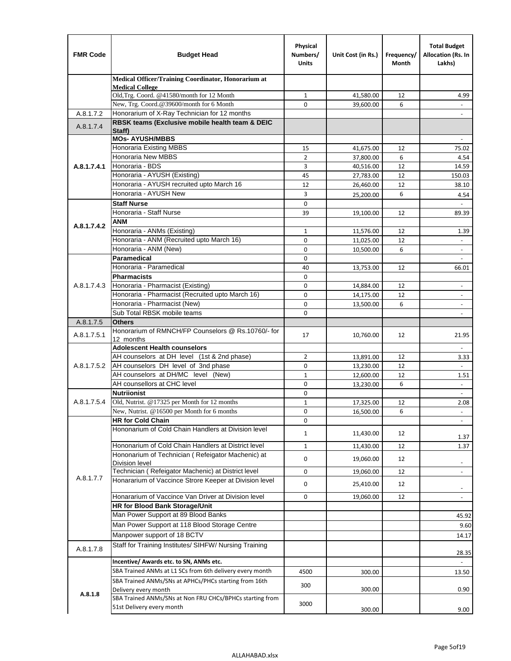| <b>FMR Code</b> | <b>Budget Head</b>                                                   | Physical<br>Numbers/<br><b>Units</b> | Unit Cost (in Rs.) | Frequency/<br>Month | <b>Total Budget</b><br>Allocation (Rs. In<br>Lakhs) |
|-----------------|----------------------------------------------------------------------|--------------------------------------|--------------------|---------------------|-----------------------------------------------------|
|                 | Medical Officer/Training Coordinator, Honorarium at                  |                                      |                    |                     |                                                     |
|                 | <b>Medical College</b><br>Old, Trg. Coord. @41580/month for 12 Month | $\mathbf{1}$                         | 41,580.00          | 12                  | 4.99                                                |
|                 | New, Trg. Coord.@39600/month for 6 Month                             | $\Omega$                             | 39,600.00          | 6                   |                                                     |
| A.8.1.7.2       | Honorarium of X-Ray Technician for 12 months                         |                                      |                    |                     |                                                     |
| A.8.1.7.4       | RBSK teams (Exclusive mobile health team & DEIC<br>Staff)            |                                      |                    |                     |                                                     |
|                 | <b>MOs- AYUSH/MBBS</b>                                               |                                      |                    |                     |                                                     |
|                 | <b>Honoraria Existing MBBS</b>                                       | 15                                   | 41,675.00          | 12                  | 75.02                                               |
|                 | Honoraria New MBBS                                                   | $\overline{2}$                       | 37,800.00          | 6                   | 4.54                                                |
| A.8.1.7.4.1     | Honoraria - BDS                                                      | 3                                    | 40,516.00          | 12                  | 14.59                                               |
|                 | Honoraria - AYUSH (Existing)                                         | 45                                   | 27,783.00          | 12                  | 150.03                                              |
|                 | Honoraria - AYUSH recruited upto March 16                            | 12                                   | 26,460.00          | 12                  | 38.10                                               |
|                 | Honoraria - AYUSH New                                                | 3                                    | 25,200.00          | 6                   | 4.54                                                |
|                 | <b>Staff Nurse</b>                                                   | $\Omega$                             |                    |                     |                                                     |
|                 | Honoraria - Staff Nurse                                              | 39                                   | 19,100.00          | 12                  | 89.39                                               |
| A.8.1.7.4.2     | <b>ANM</b><br>Honoraria - ANMs (Existing)                            |                                      |                    |                     |                                                     |
|                 | Honoraria - ANM (Recruited upto March 16)                            | $\mathbf{1}$                         | 11,576.00          | 12                  | 1.39                                                |
|                 | Honoraria - ANM (New)                                                | 0<br>0                               | 11,025.00          | 12<br>6             | $\overline{\phantom{a}}$                            |
|                 | Paramedical                                                          | $\mathbf 0$                          | 10,500.00          |                     | $\overline{\phantom{a}}$                            |
|                 | Honoraria - Paramedical                                              | 40                                   | 13,753.00          | 12                  | 66.01                                               |
|                 | <b>Pharmacists</b>                                                   | 0                                    |                    |                     |                                                     |
| A.8.1.7.4.3     | Honoraria - Pharmacist (Existing)                                    | $\mathbf 0$                          | 14,884.00          | 12                  | $\overline{\phantom{a}}$                            |
|                 | Honoraria - Pharmacist (Recruited upto March 16)                     | 0                                    | 14,175.00          | 12                  | $\blacksquare$                                      |
|                 | Honoraria - Pharmacist (New)                                         | $\mathbf 0$                          | 13,500.00          | 6                   | $\overline{\phantom{a}}$                            |
|                 | Sub Total RBSK mobile teams                                          | $\Omega$                             |                    |                     | $\blacksquare$                                      |
| A.8.1.7.5       | <b>Others</b>                                                        |                                      |                    |                     |                                                     |
| A.8.1.7.5.1     | Honorarium of RMNCH/FP Counselors @ Rs.10760/- for                   | 17                                   | 10,760.00          | 12                  | 21.95                                               |
|                 | 12 months                                                            |                                      |                    |                     |                                                     |
|                 | <b>Adolescent Health counselors</b>                                  |                                      |                    |                     | $\blacksquare$                                      |
|                 | AH counselors at DH level (1st & 2nd phase)                          | 2                                    | 13,891.00          | 12                  | 3.33                                                |
| A.8.1.7.5.2     | AH counselors DH level of 3nd phase                                  | $\mathbf 0$                          | 13,230.00          | 12                  | $\blacksquare$                                      |
|                 | AH counselors at DH/MC level (New)<br>AH counsellors at CHC level    | $\mathbf{1}$                         | 12,600.00          | 12                  | 1.51                                                |
|                 | <b>Nutriionist</b>                                                   | 0                                    | 13,230.00          | 6                   | $\Box$                                              |
| A.8.1.7.5.4     | Old, Nutrist. @17325 per Month for 12 months                         | 0<br>$\mathbf{1}$                    | 17,325.00          | 12                  | $\blacksquare$<br>2.08                              |
|                 | New, Nutrist. $@16500$ per Month for 6 months                        | 0                                    | 16,500.00          | 6                   | $\overline{\phantom{a}}$                            |
|                 | <b>HR for Cold Chain</b>                                             | 0                                    |                    |                     | $\overline{\phantom{a}}$                            |
|                 | Hononarium of Cold Chain Handlers at Division level                  |                                      |                    |                     |                                                     |
|                 |                                                                      | 1                                    | 11,430.00          | 12                  | 1.37                                                |
|                 | Hononarium of Cold Chain Handlers at District level                  | 1                                    | 11,430.00          | 12                  | 1.37                                                |
|                 | Hononarium of Technician (Refeigator Machenic) at                    | 0                                    | 19,060.00          | 12                  |                                                     |
|                 | <b>Division level</b>                                                |                                      |                    |                     | $\blacksquare$                                      |
| A.8.1.7.7       | Technician (Refeigator Machenic) at District level                   | 0                                    | 19,060.00          | 12                  | $\blacksquare$                                      |
|                 | Honararium of Vaccince Strore Keeper at Division level               | 0                                    | 25,410.00          | 12                  | $\overline{\phantom{a}}$                            |
|                 | Honararium of Vaccince Van Driver at Division level                  | 0                                    | 19,060.00          | 12                  | $\overline{\phantom{a}}$                            |
|                 | HR for Blood Bank Storage/Unit                                       |                                      |                    |                     |                                                     |
|                 | Man Power Support at 89 Blood Banks                                  |                                      |                    |                     | 45.92                                               |
|                 | Man Power Support at 118 Blood Storage Centre                        |                                      |                    |                     | 9.60                                                |
|                 | Manpower support of 18 BCTV                                          |                                      |                    |                     | 14.17                                               |
| A.8.1.7.8       | Staff for Training Institutes/ SIHFW/ Nursing Training               |                                      |                    |                     | 28.35                                               |
|                 | Incentive/ Awards etc. to SN, ANMs etc.                              |                                      |                    |                     |                                                     |
|                 | SBA Trained ANMs at L1 SCs from 6th delivery every month             | 4500                                 | 300.00             |                     | 13.50                                               |
|                 | SBA Trained ANMs/SNs at APHCs/PHCs starting from 16th                | 300                                  |                    |                     |                                                     |
| A.8.1.8         | Delivery every month                                                 |                                      | 300.00             |                     | 0.90                                                |
|                 | SBA Trained ANMs/SNs at Non FRU CHCs/BPHCs starting from             | 3000                                 |                    |                     |                                                     |
|                 | 51st Delivery every month                                            |                                      | 300.00             |                     | 9.00                                                |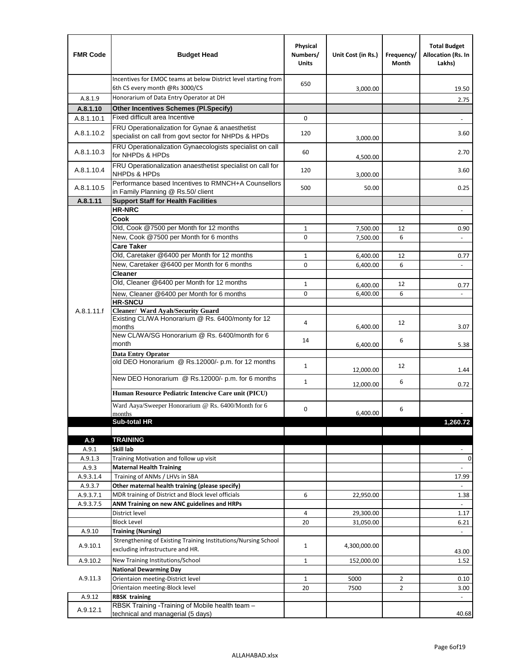| <b>FMR Code</b>  | <b>Budget Head</b>                                                                                      | Physical<br>Numbers/<br><b>Units</b> | Unit Cost (in Rs.)   | Frequency/<br>Month | <b>Total Budget</b><br>Allocation (Rs. In<br>Lakhs) |
|------------------|---------------------------------------------------------------------------------------------------------|--------------------------------------|----------------------|---------------------|-----------------------------------------------------|
|                  | Incentives for EMOC teams at below District level starting from<br>6th CS every month @Rs 3000/CS       | 650                                  | 3,000.00             |                     | 19.50                                               |
| A.8.1.9          | Honorarium of Data Entry Operator at DH                                                                 |                                      |                      |                     | 2.75                                                |
| A.8.1.10         | <b>Other Incentives Schemes (PI.Specify)</b>                                                            |                                      |                      |                     |                                                     |
| A.8.1.10.1       | Fixed difficult area Incentive                                                                          | $\mathbf 0$                          |                      |                     |                                                     |
| A.8.1.10.2       | FRU Operationalization for Gynae & anaesthetist<br>specialist on call from govt sector for NHPDs & HPDs | 120                                  | 3,000.00             |                     | 3.60                                                |
| A.8.1.10.3       | FRU Operationalization Gynaecologists specialist on call<br>for NHPDs & HPDs                            | 60                                   | 4,500.00             |                     | 2.70                                                |
| A.8.1.10.4       | FRU Operationalization anaesthetist specialist on call for<br><b>NHPDs &amp; HPDs</b>                   | 120                                  | 3,000.00             |                     | 3.60                                                |
| A.8.1.10.5       | Performance based Incentives to RMNCH+A Counsellors<br>in Family Planning @ Rs.50/ client               | 500                                  | 50.00                |                     | 0.25                                                |
| A.8.1.11         | <b>Support Staff for Health Facilities</b>                                                              |                                      |                      |                     |                                                     |
|                  | <b>HR-NRC</b>                                                                                           |                                      |                      |                     | $\qquad \qquad \blacksquare$                        |
|                  | Cook                                                                                                    |                                      |                      |                     |                                                     |
|                  | Old, Cook @7500 per Month for 12 months                                                                 | $\mathbf{1}$                         | 7,500.00             | 12                  | 0.90                                                |
|                  | New, Cook @7500 per Month for 6 months                                                                  | 0                                    | 7,500.00             | 6                   | $\Box$                                              |
|                  | <b>Care Taker</b>                                                                                       |                                      |                      |                     |                                                     |
|                  | Old, Caretaker @6400 per Month for 12 months<br>New, Caretaker @6400 per Month for 6 months             | $\mathbf{1}$<br>0                    | 6,400.00             | 12<br>6             | 0.77<br>÷,                                          |
|                  | <b>Cleaner</b>                                                                                          |                                      | 6,400.00             |                     |                                                     |
|                  | Old, Cleaner @6400 per Month for 12 months                                                              | $\mathbf{1}$                         |                      | 12                  |                                                     |
|                  | New, Cleaner @6400 per Month for 6 months                                                               | $\mathbf 0$                          | 6,400.00<br>6,400.00 | 6                   | 0.77                                                |
|                  | <b>HR-SNCU</b>                                                                                          |                                      |                      |                     |                                                     |
| A.8.1.11.f       | Cleaner/ Ward Ayah/Security Guard                                                                       |                                      |                      |                     |                                                     |
|                  | Existing CL/WA Honorarium @ Rs. 6400/monty for 12<br>months                                             | 4                                    | 6,400.00             | 12                  | 3.07                                                |
|                  | New CL/WA/SG Honorarium @ Rs. 6400/month for 6<br>month                                                 | 14                                   | 6,400.00             | 6                   | 5.38                                                |
|                  | <b>Data Entry Oprator</b>                                                                               |                                      |                      |                     |                                                     |
|                  | old DEO Honorarium @ Rs.12000/- p.m. for 12 months                                                      | $\mathbf{1}$                         | 12,000.00            | 12                  | 1.44                                                |
|                  | New DEO Honorarium @ Rs.12000/- p.m. for 6 months                                                       | $\mathbf{1}$                         | 12,000.00            | 6                   | 0.72                                                |
|                  | Human Resource Pediatric Intencive Care unit (PICU)                                                     |                                      |                      |                     |                                                     |
|                  | Ward Aaya/Sweeper Honorarium @ Rs. 6400/Month for 6                                                     |                                      |                      |                     |                                                     |
|                  | months                                                                                                  | 0                                    | 6,400.00             | 6                   |                                                     |
|                  | Sub-total HR                                                                                            |                                      |                      |                     | 1,260.72                                            |
|                  |                                                                                                         |                                      |                      |                     |                                                     |
| A.9              | <b>TRAINING</b><br>Skill lab                                                                            |                                      |                      |                     |                                                     |
| A.9.1<br>A.9.1.3 | Training Motivation and follow up visit                                                                 |                                      |                      |                     | $\mathbf 0$                                         |
| A.9.3            | <b>Maternal Health Training</b>                                                                         |                                      |                      |                     |                                                     |
| A.9.3.1.4        | Training of ANMs / LHVs in SBA                                                                          |                                      |                      |                     | 17.99                                               |
| A.9.3.7          | Other maternal health training (please specify)                                                         |                                      |                      |                     |                                                     |
| A.9.3.7.1        | MDR training of District and Block level officials                                                      | 6                                    | 22,950.00            |                     | 1.38                                                |
| A.9.3.7.5        | ANM Training on new ANC guidelines and HRPs                                                             |                                      |                      |                     |                                                     |
|                  | District level                                                                                          | 4                                    | 29,300.00            |                     | 1.17                                                |
|                  | <b>Block Level</b>                                                                                      | 20                                   | 31,050.00            |                     | 6.21                                                |
| A.9.10           | <b>Training (Nursing)</b>                                                                               |                                      |                      |                     |                                                     |
| A.9.10.1         | Strengthening of Existing Training Institutions/Nursing School<br>excluding infrastructure and HR.      | $\mathbf{1}$                         | 4,300,000.00         |                     | 43.00                                               |
| A.9.10.2         | New Training Institutions/School                                                                        | $\mathbf{1}$                         | 152,000.00           |                     | 1.52                                                |
|                  | <b>National Dewarming Day</b>                                                                           |                                      |                      |                     |                                                     |
| A.9.11.3         | Orientaion meeting-District level                                                                       | 1                                    | 5000                 | $\overline{2}$      | 0.10                                                |
|                  | Orientaion meeting-Block level                                                                          | 20                                   | 7500                 | $\overline{2}$      | 3.00                                                |
| A.9.12           | <b>RBSK training</b>                                                                                    |                                      |                      |                     |                                                     |
| A.9.12.1         | RBSK Training -Training of Mobile health team -<br>technical and managerial (5 days)                    |                                      |                      |                     | 40.68                                               |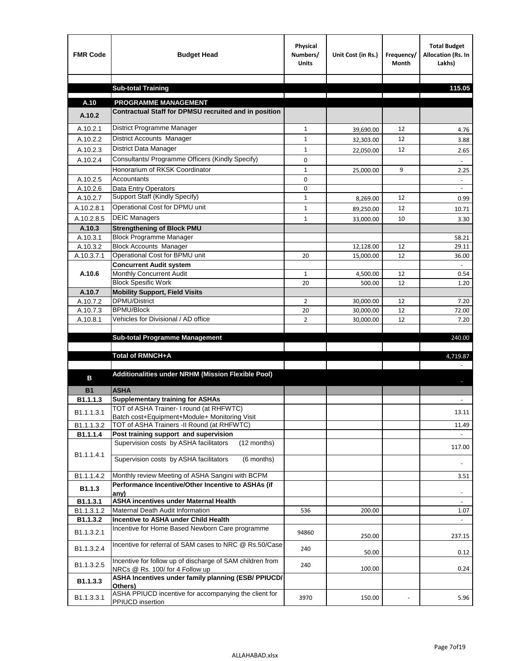| <b>FMR Code</b>                   | <b>Budget Head</b>                                                                           | Physical<br>Numbers/<br><b>Units</b> | Unit Cost (in Rs.) | Frequency/<br><b>Month</b> | <b>Total Budget</b><br>Allocation (Rs. In<br>Lakhs) |
|-----------------------------------|----------------------------------------------------------------------------------------------|--------------------------------------|--------------------|----------------------------|-----------------------------------------------------|
|                                   |                                                                                              |                                      |                    |                            | 115.05                                              |
|                                   | <b>Sub-total Training</b>                                                                    |                                      |                    |                            |                                                     |
| A.10                              | <b>PROGRAMME MANAGEMENT</b>                                                                  |                                      |                    |                            |                                                     |
| A.10.2                            | Contractual Staff for DPMSU recruited and in position                                        |                                      |                    |                            |                                                     |
| A.10.2.1                          | District Programme Manager                                                                   | $\mathbf{1}$                         | 39,690.00          | 12                         | 4.76                                                |
| A.10.2.2                          | District Accounts Manager                                                                    | $\mathbf{1}$                         | 32,303.00          | 12                         | 3.88                                                |
| A.10.2.3                          | District Data Manager                                                                        | $\mathbf 1$                          | 22,050.00          | 12                         | 2.65                                                |
| A.10.2.4                          | Consultants/ Programme Officers (Kindly Specify)                                             | 0                                    |                    |                            |                                                     |
|                                   | Honorarium of RKSK Coordinator                                                               | $\mathbf 1$                          | 25,000.00          | 9                          | 2.25                                                |
| A.10.2.5                          | Accountants                                                                                  | $\mathbf 0$                          |                    |                            |                                                     |
| A.10.2.6                          | Data Entry Operators                                                                         | 0                                    |                    |                            | $\sim$                                              |
| A.10.2.7                          | Support Staff (Kindly Specify)                                                               | 1                                    | 8,269.00           | 12                         | 0.99                                                |
| A.10.2.8.1                        | Operational Cost for DPMU unit                                                               | $\mathbf{1}$                         | 89,250.00          | 12                         | 10.71                                               |
| A.10.2.8.5                        | <b>DEIC Managers</b>                                                                         | $\mathbf{1}$                         | 33,000.00          | 10                         | 3.30                                                |
| A.10.3                            | <b>Strengthening of Block PMU</b>                                                            |                                      |                    |                            |                                                     |
| A.10.3.1                          | <b>Block Programme Manager</b>                                                               |                                      |                    |                            | 58.21                                               |
| A.10.3.2                          | <b>Block Accounts Manager</b>                                                                |                                      | 12,128.00          | 12                         | 29.11                                               |
| A.10.3.7.1                        | Operational Cost for BPMU unit                                                               | 20                                   | 15,000.00          | 12                         | 36.00                                               |
| A.10.6                            | <b>Concurrent Audit system</b><br>Monthly Concurrent Audit                                   | $\mathbf{1}$                         | 4,500.00           | 12                         | 0.54                                                |
|                                   | <b>Block Spesific Work</b>                                                                   | 20                                   | 500.00             | 12                         | 1.20                                                |
| A.10.7                            | <b>Mobility Support, Field Visits</b>                                                        |                                      |                    |                            |                                                     |
| A.10.7.2                          | <b>DPMU/District</b>                                                                         | $\overline{2}$                       | 30,000.00          | 12                         | 7.20                                                |
| A.10.7.3                          | <b>BPMU/Block</b>                                                                            | 20                                   | 30,000.00          | 12                         | 72.00                                               |
| A.10.8.1                          | Vehicles for Divisional / AD office                                                          | $\overline{2}$                       | 30,000.00          | 12                         | 7.20                                                |
|                                   |                                                                                              |                                      |                    |                            |                                                     |
|                                   | <b>Sub-total Programme Management</b>                                                        |                                      |                    |                            | 240.00                                              |
|                                   | Total of RMNCH+A                                                                             |                                      |                    |                            | 4,719.87                                            |
|                                   |                                                                                              |                                      |                    |                            |                                                     |
| в                                 | Additionalities under NRHM (Mission Flexible Pool)                                           |                                      |                    |                            |                                                     |
|                                   |                                                                                              |                                      |                    |                            |                                                     |
| <b>B1</b><br>B <sub>1.1.1.3</sub> | <b>ASHA</b>                                                                                  |                                      |                    |                            |                                                     |
|                                   | <b>Supplementary training for ASHAs</b><br>TOT of ASHA Trainer- I round (at RHFWTC)          |                                      |                    |                            |                                                     |
| B1.1.1.3.1                        | Batch cost+Equipment+Module+ Monitoring Visit                                                |                                      |                    |                            | 13.11                                               |
| B1.1.1.3.2                        | TOT of ASHA Trainers -II Round (at RHFWTC)                                                   |                                      |                    |                            | 11.49                                               |
| B1.1.1.4                          | Post training support and supervision                                                        |                                      |                    |                            | $\omega$                                            |
|                                   | Supervision costs by ASHA facilitators<br>(12 months)                                        |                                      |                    |                            | 117.00                                              |
| B1.1.1.4.1                        | Supervision costs by ASHA facilitators<br>(6 months)                                         |                                      |                    |                            |                                                     |
|                                   |                                                                                              |                                      |                    |                            | $\overline{\phantom{a}}$                            |
| B1.1.1.4.2                        | Monthly review Meeting of ASHA Sangini with BCPM                                             |                                      |                    |                            | 3.51                                                |
| B1.1.3                            | Performance Incentive/Other Incentive to ASHAs (if                                           |                                      |                    |                            |                                                     |
| B1.1.3.1                          | any)<br><b>ASHA incentives under Maternal Health</b>                                         |                                      |                    |                            |                                                     |
| B1.1.3.1.2                        | Maternal Death Audit Information                                                             | 536                                  | 200.00             |                            | 1.07                                                |
| B1.1.3.2                          | Incentive to ASHA under Child Health                                                         |                                      |                    |                            |                                                     |
| B1.1.3.2.1                        | Incentive for Home Based Newborn Care programme                                              | 94860                                | 250.00             |                            | 237.15                                              |
| B1.1.3.2.4                        | Incentive for referral of SAM cases to NRC @ Rs.50/Case                                      | 240                                  | 50.00              |                            | 0.12                                                |
| B1.1.3.2.5                        | Incentive for follow up of discharge of SAM children from<br>NRCs @ Rs. 100/ for 4 Follow up | 240                                  | 100.00             |                            | 0.24                                                |
| B1.1.3.3                          | ASHA Incentives under family planning (ESB/ PPIUCD/<br>Others)                               |                                      |                    |                            |                                                     |
| B1.1.3.3.1                        | ASHA PPIUCD incentive for accompanying the client for<br>PPIUCD insertion                    | 3970                                 | 150.00             |                            | 5.96                                                |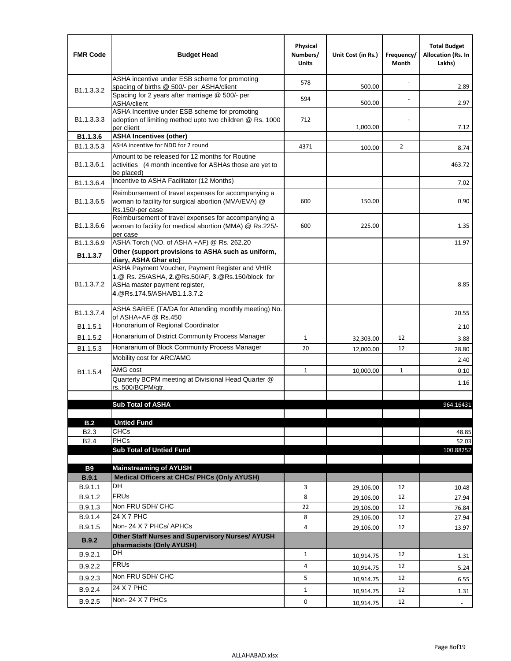| <b>FMR Code</b>            | <b>Budget Head</b>                                                                                                                                                    | Physical<br>Numbers/<br><b>Units</b> | Unit Cost (in Rs.) | Frequency/<br>Month | <b>Total Budget</b><br><b>Allocation (Rs. In</b><br>Lakhs) |
|----------------------------|-----------------------------------------------------------------------------------------------------------------------------------------------------------------------|--------------------------------------|--------------------|---------------------|------------------------------------------------------------|
|                            | ASHA incentive under ESB scheme for promoting<br>spacing of births @ 500/- per ASHA/client                                                                            | 578                                  | 500.00             |                     | 2.89                                                       |
| B <sub>1.1</sub> , 3, 3, 2 | Spacing for 2 years after marriage @ 500/- per<br>ASHA/client                                                                                                         | 594                                  | 500.00             |                     | 2.97                                                       |
| B1.1.3.3.3                 | ASHA Incentive under ESB scheme for promoting<br>adoption of limiting method upto two children @ Rs. 1000<br>per client                                               | 712                                  | 1,000.00           |                     | 7.12                                                       |
| B1.1.3.6                   | <b>ASHA Incentives (other)</b>                                                                                                                                        |                                      |                    |                     |                                                            |
| B <sub>1.1</sub> , 3, 5, 3 | ASHA incentive for NDD for 2 round                                                                                                                                    | 4371                                 | 100.00             | $\overline{2}$      | 8.74                                                       |
| B <sub>1.1</sub> .3.6.1    | Amount to be released for 12 months for Routine<br>activities (4 month incentive for ASHAs those are yet to<br>be placed)                                             |                                      |                    |                     | 463.72                                                     |
| B1.1.3.6.4                 | Incentive to ASHA Facilitator (12 Months)                                                                                                                             |                                      |                    |                     | 7.02                                                       |
| B <sub>1.1</sub> .3.6.5    | Reimbursement of travel expenses for accompanying a<br>woman to facility for surgical abortion (MVA/EVA) @<br>Rs.150/-per case                                        | 600                                  | 150.00             |                     | 0.90                                                       |
| B <sub>1.1</sub> .3.6.6    | Reimbursement of travel expenses for accompanying a<br>woman to facility for medical abortion (MMA) @ Rs.225/-<br>per case                                            | 600                                  | 225.00             |                     | 1.35                                                       |
| B1.1.3.6.9                 | ASHA Torch (NO. of ASHA +AF) @ Rs. 262.20                                                                                                                             |                                      |                    |                     | 11.97                                                      |
| B1.1.3.7                   | Other (support provisions to ASHA such as uniform,<br>diary, ASHA Ghar etc)                                                                                           |                                      |                    |                     |                                                            |
| B <sub>1.1</sub> .3.7.2    | ASHA Payment Voucher, Payment Register and VHIR<br>1.@ Rs. 25/ASHA, 2.@Rs.50/AF, 3.@Rs.150/block for<br>ASHa master payment register,<br>4. @Rs.174.5/ASHA/B1.1.3.7.2 |                                      |                    |                     | 8.85                                                       |
| B <sub>1.1</sub> , 3.7.4   | ASHA SAREE (TA/DA for Attending monthly meeting) No.<br>of ASHA+AF @ Rs.450                                                                                           |                                      |                    |                     | 20.55                                                      |
| B1.1.5.1                   | Honorarium of Regional Coordinator                                                                                                                                    |                                      |                    |                     | 2.10                                                       |
| B <sub>1.1.5.2</sub>       | Honararium of District Community Process Manager                                                                                                                      | $\mathbf{1}$                         | 32,303.00          | 12                  | 3.88                                                       |
| B1.1.5.3                   | Honararium of Block Community Process Manager                                                                                                                         | 20                                   | 12,000.00          | 12                  | 28.80                                                      |
|                            | Mobility cost for ARC/AMG                                                                                                                                             |                                      |                    |                     | 2.40                                                       |
| B <sub>1.1.5.4</sub>       | AMG cost                                                                                                                                                              | $\mathbf{1}$                         | 10,000.00          | $\mathbf{1}$        | 0.10                                                       |
|                            | Quarterly BCPM meeting at Divisional Head Quarter @                                                                                                                   |                                      |                    |                     | 1.16                                                       |
|                            | rs. 500/BCPM/atr.                                                                                                                                                     |                                      |                    |                     |                                                            |
|                            | <b>Sub Total of ASHA</b>                                                                                                                                              |                                      |                    |                     | 964.16431                                                  |
|                            |                                                                                                                                                                       |                                      |                    |                     |                                                            |
| B.2                        | <b>Untied Fund</b>                                                                                                                                                    |                                      |                    |                     |                                                            |
| B <sub>2.3</sub>           | <b>CHCs</b>                                                                                                                                                           |                                      |                    |                     | 48.85                                                      |
| B <sub>2.4</sub>           | <b>PHCs</b>                                                                                                                                                           |                                      |                    |                     | 52.03                                                      |
|                            | <b>Sub Total of Untied Fund</b>                                                                                                                                       |                                      |                    |                     | 100.88252                                                  |
| <b>B9</b>                  | <b>Mainstreaming of AYUSH</b>                                                                                                                                         |                                      |                    |                     |                                                            |
| B.9.1                      | Medical Officers at CHCs/ PHCs (Only AYUSH)                                                                                                                           |                                      |                    |                     |                                                            |
| B.9.1.1                    | <b>DH</b>                                                                                                                                                             | 3                                    | 29,106.00          | 12                  | 10.48                                                      |
| B.9.1.2                    | <b>FRUs</b>                                                                                                                                                           | 8                                    | 29,106.00          | 12                  | 27.94                                                      |
| B.9.1.3                    | Non FRU SDH/ CHC                                                                                                                                                      | 22                                   | 29,106.00          | 12                  | 76.84                                                      |
| B.9.1.4                    | 24 X 7 PHC                                                                                                                                                            | 8                                    | 29,106.00          | 12                  | 27.94                                                      |
| B.9.1.5                    | Non-24 X 7 PHCs/ APHCs                                                                                                                                                | 4                                    | 29,106.00          | 12                  | 13.97                                                      |
| <b>B.9.2</b>               | Other Staff Nurses and Supervisory Nurses/ AYUSH<br>pharmacists (Only AYUSH)                                                                                          |                                      |                    |                     |                                                            |
| B.9.2.1                    | DH                                                                                                                                                                    | $\mathbf{1}$                         | 10,914.75          | 12                  | 1.31                                                       |
| B.9.2.2                    | <b>FRUs</b>                                                                                                                                                           | 4                                    | 10,914.75          | 12                  | 5.24                                                       |
| B.9.2.3                    | Non FRU SDH/ CHC                                                                                                                                                      | 5                                    | 10,914.75          | 12                  | 6.55                                                       |
| B.9.2.4                    | 24 X 7 PHC                                                                                                                                                            | $\mathbf{1}$                         | 10,914.75          | 12                  | 1.31                                                       |
| B.9.2.5                    | Non-24 X 7 PHCs                                                                                                                                                       | 0                                    | 10,914.75          | 12                  |                                                            |
|                            |                                                                                                                                                                       |                                      |                    |                     | $\blacksquare$                                             |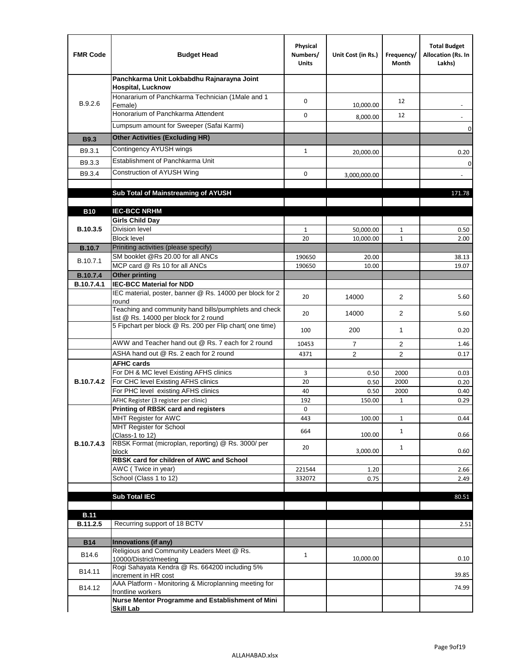| <b>FMR Code</b> | <b>Budget Head</b>                                                                              | Physical<br>Numbers/<br><b>Units</b> | Unit Cost (in Rs.) | Frequency/<br>Month | <b>Total Budget</b><br>Allocation (Rs. In<br>Lakhs) |
|-----------------|-------------------------------------------------------------------------------------------------|--------------------------------------|--------------------|---------------------|-----------------------------------------------------|
|                 | Panchkarma Unit Lokbabdhu Rajnarayna Joint<br><b>Hospital, Lucknow</b>                          |                                      |                    |                     |                                                     |
| B.9.2.6         | Honararium of Panchkarma Technician (1Male and 1<br>Female)                                     | 0                                    | 10,000.00          | 12                  |                                                     |
|                 | Honorarium of Panchkarma Attendent                                                              | $\mathbf 0$                          | 8,000.00           | 12                  |                                                     |
|                 | Lumpsum amount for Sweeper (Safai Karmi)                                                        |                                      |                    |                     | 0                                                   |
| <b>B9.3</b>     | <b>Other Activities (Excluding HR)</b>                                                          |                                      |                    |                     |                                                     |
| B9.3.1          | Contingency AYUSH wings                                                                         | $\mathbf{1}$                         | 20,000.00          |                     | 0.20                                                |
| B9.3.3          | Establishment of Panchkarma Unit                                                                |                                      |                    |                     | $\mathbf 0$                                         |
| B9.3.4          | Construction of AYUSH Wing                                                                      | 0                                    | 3,000,000.00       |                     |                                                     |
|                 |                                                                                                 |                                      |                    |                     |                                                     |
|                 | Sub Total of Mainstreaming of AYUSH                                                             |                                      |                    |                     | 171.78                                              |
| <b>B10</b>      | <b>IEC-BCC NRHM</b>                                                                             |                                      |                    |                     |                                                     |
|                 | <b>Girls Child Day</b>                                                                          |                                      |                    |                     |                                                     |
| B.10.3.5        | <b>Division level</b>                                                                           | $\mathbf{1}$                         | 50,000.00          | 1                   | 0.50                                                |
|                 | <b>Block level</b>                                                                              | 20                                   | 10,000.00          | $\mathbf{1}$        | 2.00                                                |
| <b>B.10.7</b>   | Priniting activities (please specify)                                                           |                                      |                    |                     |                                                     |
| B.10.7.1        | SM booklet @Rs 20.00 for all ANCs<br>MCP card @ Rs 10 for all ANCs                              | 190650<br>190650                     | 20.00<br>10.00     |                     | 38.13<br>19.07                                      |
| <b>B.10.7.4</b> | <b>Other printing</b>                                                                           |                                      |                    |                     |                                                     |
| B.10.7.4.1      | <b>IEC-BCC Material for NDD</b>                                                                 |                                      |                    |                     |                                                     |
|                 | IEC material, poster, banner @ Rs. 14000 per block for 2<br>round                               | 20                                   | 14000              | $\overline{2}$      | 5.60                                                |
|                 | Teaching and community hand bills/pumphlets and check<br>list @ Rs. 14000 per block for 2 round | 20                                   | 14000              | 2                   | 5.60                                                |
|                 | 5 Fipchart per block @ Rs. 200 per Flip chart( one time)                                        | 100                                  | 200                | 1                   | 0.20                                                |
|                 | AWW and Teacher hand out @ Rs. 7 each for 2 round                                               | 10453                                | $\overline{7}$     | 2                   | 1.46                                                |
|                 | ASHA hand out @ Rs. 2 each for 2 round                                                          | 4371                                 | $\overline{2}$     | 2                   | 0.17                                                |
|                 | <b>AFHC cards</b><br>For DH & MC level Existing AFHS clinics                                    | 3                                    |                    | 2000                |                                                     |
| B.10.7.4.2      | For CHC level Existing AFHS clinics                                                             | 20                                   | 0.50<br>0.50       | 2000                | 0.03<br>0.20                                        |
|                 | For PHC level existing AFHS clinics                                                             | 40                                   | 0.50               | 2000                | 0.40                                                |
|                 | AFHC Register (3 register per clinic)                                                           | 192                                  | 150.00             | $\mathbf{1}$        | 0.29                                                |
|                 | Printing of RBSK card and registers                                                             | 0                                    |                    |                     |                                                     |
|                 | MHT Register for AWC<br>MHT Register for School                                                 | 443                                  | 100.00             | $\mathbf{1}$        | 0.44                                                |
|                 | (Class-1 to 12)                                                                                 | 664                                  | 100.00             | $\mathbf{1}$        | 0.66                                                |
| B.10.7.4.3      | RBSK Format (microplan, reporting) @ Rs. 3000/ per                                              | 20                                   |                    | $\mathbf{1}$        |                                                     |
|                 | block<br>RBSK card for children of AWC and School                                               |                                      | 3,000.00           |                     | 0.60                                                |
|                 | AWC (Twice in year)                                                                             | 221544                               | 1.20               |                     | 2.66                                                |
|                 | School (Class 1 to 12)                                                                          | 332072                               | 0.75               |                     | 2.49                                                |
|                 |                                                                                                 |                                      |                    |                     |                                                     |
|                 | <b>Sub Total IEC</b>                                                                            |                                      |                    |                     | 80.51                                               |
| <b>B.11</b>     |                                                                                                 |                                      |                    |                     |                                                     |
| B.11.2.5        | Recurring support of 18 BCTV                                                                    |                                      |                    |                     | 2.51                                                |
|                 |                                                                                                 |                                      |                    |                     |                                                     |
| <b>B14</b>      | Innovations (if any)<br>Religious and Community Leaders Meet @ Rs.                              |                                      |                    |                     |                                                     |
| B14.6           | 10000/District/meeting                                                                          | $\mathbf{1}$                         | 10,000.00          |                     | 0.10                                                |
| B14.11          | Rogi Sahayata Kendra @ Rs. 664200 including 5%<br>increment in HR cost                          |                                      |                    |                     | 39.85                                               |
| B14.12          | AAA Platform - Monitoring & Microplanning meeting for<br>frontline workers                      |                                      |                    |                     | 74.99                                               |
|                 | Nurse Mentor Programme and Establishment of Mini                                                |                                      |                    |                     |                                                     |
|                 | <b>Skill Lab</b>                                                                                |                                      |                    |                     |                                                     |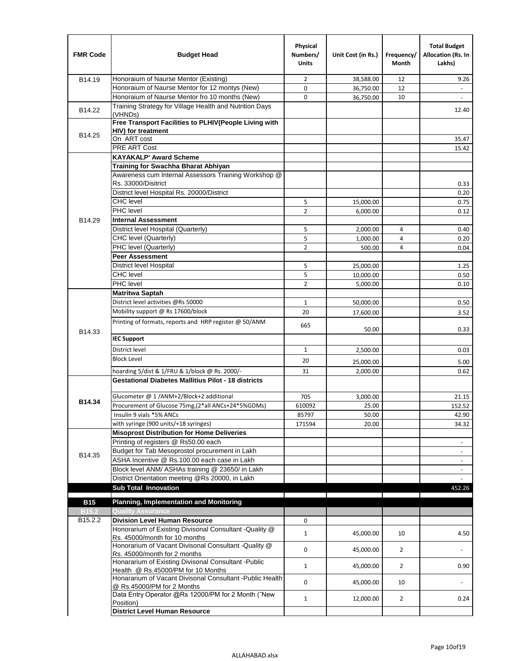| <b>FMR Code</b>   | <b>Budget Head</b>                                                                              | Physical<br>Numbers/<br><b>Units</b> | Unit Cost (in Rs.) | Frequency/<br><b>Month</b> | <b>Total Budget</b><br>Allocation (Rs. In<br>Lakhs) |
|-------------------|-------------------------------------------------------------------------------------------------|--------------------------------------|--------------------|----------------------------|-----------------------------------------------------|
| B14.19            | Honoraium of Naurse Mentor (Existing)                                                           | 2                                    | 38,588.00          | 12                         | 9.26                                                |
|                   | Honoraium of Naurse Mentor for 12 montys (New)                                                  | 0                                    | 36,750.00          | 12                         |                                                     |
|                   | Honoraium of Naurse Mentor fro 10 months (New)                                                  | 0                                    | 36,750.00          | 10                         | $\overline{\phantom{a}}$                            |
| B14.22            | Training Strategy for Village Health and Nutrition Days<br>(VHNDs)                              |                                      |                    |                            | 12.40                                               |
|                   | Free Transport Facilities to PLHIV(People Living with                                           |                                      |                    |                            |                                                     |
| B14.25            | <b>HIV)</b> for treatment                                                                       |                                      |                    |                            |                                                     |
|                   | On ART cost                                                                                     |                                      |                    |                            | 35.47                                               |
|                   | PRE ART Cost                                                                                    |                                      |                    |                            | 15.42                                               |
|                   | <b>KAYAKALP' Award Scheme</b>                                                                   |                                      |                    |                            |                                                     |
|                   | Training for Swachha Bharat Abhiyan<br>Awareness cum Internal Assessors Training Workshop @     |                                      |                    |                            |                                                     |
|                   | Rs. 33000/Disitrict                                                                             |                                      |                    |                            | 0.33                                                |
|                   | District level Hospital Rs. 20000/District                                                      |                                      |                    |                            | 0.20                                                |
|                   | <b>CHC</b> level                                                                                | 5                                    | 15,000.00          |                            | 0.75                                                |
|                   | <b>PHC</b> level                                                                                | $\overline{2}$                       | 6,000.00           |                            | 0.12                                                |
| B14.29            | <b>Internal Assessment</b>                                                                      |                                      |                    |                            |                                                     |
|                   | District level Hospital (Quarterly)                                                             | 5                                    | 2,000.00           | 4                          | 0.40                                                |
|                   | CHC level (Quarterly)                                                                           | 5                                    | 1,000.00           | 4                          | 0.20                                                |
|                   | PHC level (Quarterly)                                                                           | $\overline{2}$                       | 500.00             | 4                          | 0.04                                                |
|                   | <b>Peer Assessment</b>                                                                          |                                      |                    |                            |                                                     |
|                   | <b>District level Hospital</b>                                                                  | 5                                    | 25.000.00          |                            | 1.25                                                |
|                   | <b>CHC</b> level                                                                                | 5                                    | 10,000.00          |                            | 0.50                                                |
|                   | PHC level                                                                                       | $\overline{2}$                       | 5,000.00           |                            | 0.10                                                |
|                   | Matritwa Saptah                                                                                 |                                      |                    |                            |                                                     |
|                   | District level activities @Rs 50000                                                             | $\mathbf{1}$                         | 50,000.00          |                            | 0.50                                                |
|                   | Mobility support @ Rs 17600/block                                                               | 20                                   | 17,600.00          |                            | 3.52                                                |
|                   | Printing of formats, reports and HRP register @ 50/ANM                                          |                                      |                    |                            |                                                     |
| B14.33            |                                                                                                 | 665                                  | 50.00              |                            | 0.33                                                |
|                   | <b>IEC Support</b>                                                                              |                                      |                    |                            |                                                     |
|                   | District level                                                                                  | $\mathbf{1}$                         | 2,500.00           |                            | 0.03                                                |
|                   | <b>Block Level</b>                                                                              | 20                                   | 25,000.00          |                            | 5.00                                                |
|                   | hoarding 5/dist & 1/FRU & 1/block @ Rs. 2000/-                                                  | 31                                   | 2,000.00           |                            | 0.62                                                |
|                   | <b>Gestational Diabetes Mallitius Pilot - 18 districts</b>                                      |                                      |                    |                            |                                                     |
|                   |                                                                                                 |                                      |                    |                            |                                                     |
| B14.34            | Glucometer @ 1 /ANM+2/Block+2 additional                                                        | 705                                  | 3,000.00           |                            | 21.15                                               |
|                   | Procurement of Glucose 75mg, (2*all ANCs+24*5%GDMs)                                             | 610092                               | 25.00              |                            | 152.52                                              |
|                   | Insulin 9 vials *5% ANCs                                                                        | 85797                                | 50.00              |                            | 42.90                                               |
|                   | with syringe (900 units/+18 syringes)<br><b>Misoprost Distribution for Home Deliveries</b>      | 171594                               | 20.00              |                            | 34.32                                               |
|                   | Printing of registers @ Rs50.00 each                                                            |                                      |                    |                            |                                                     |
|                   | Budget for Tab Mesoprostol procurement in Lakh                                                  |                                      |                    |                            | $\overline{\phantom{a}}$                            |
| B14.35            | ASHA Incentive @ Rs.100.00 each case in Lakh                                                    |                                      |                    |                            | $\overline{\phantom{a}}$                            |
|                   | Block level ANM/ ASHAs training @ 23650/ in Lakh                                                |                                      |                    |                            | $\overline{\phantom{a}}$                            |
|                   | District Orientation meeting @Rs 20000, in Lakh                                                 |                                      |                    |                            |                                                     |
|                   | <b>Sub Total Innovation</b>                                                                     |                                      |                    |                            | 452.26                                              |
| <b>B15</b>        | <b>Planning, Implementation and Monitoring</b>                                                  |                                      |                    |                            |                                                     |
| B <sub>15.2</sub> | <b>Quality Assurance</b>                                                                        |                                      |                    |                            |                                                     |
| B15.2.2           | <b>Division Level Human Resource</b>                                                            | 0                                    |                    |                            |                                                     |
|                   | Honorarium of Existing Divisonal Consultant -Quality @                                          |                                      |                    |                            |                                                     |
|                   | Rs. 45000/month for 10 months                                                                   | $\mathbf{1}$                         | 45,000.00          | 10                         | 4.50                                                |
|                   | Honorarium of Vacant Divisonal Consultant -Quality @                                            | 0                                    | 45,000.00          | $\overline{2}$             |                                                     |
|                   | Rs. 45000/month for 2 months                                                                    |                                      |                    |                            |                                                     |
|                   | Honararium of Existing Divisonal Consultant - Public                                            | $\mathbf{1}$                         | 45,000.00          | $\overline{2}$             | 0.90                                                |
|                   | Health @ Rs.45000/PM for 10 Months<br>Honararium of Vacant Divisonal Consultant - Public Health |                                      |                    |                            |                                                     |
|                   | @ Rs.45000/PM for 2 Months                                                                      | 0                                    | 45,000.00          | 10                         | $\blacksquare$                                      |
|                   | Data Entry Operator @Rs 12000/PM for 2 Month ("New                                              | $\mathbf{1}$                         | 12,000.00          | $\overline{2}$             | 0.24                                                |
|                   | Position)                                                                                       |                                      |                    |                            |                                                     |
|                   | <b>District Level Human Resource</b>                                                            |                                      |                    |                            |                                                     |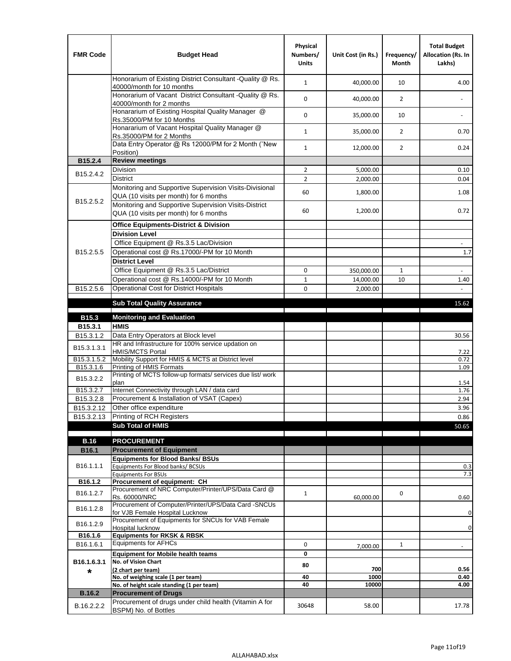| <b>FMR Code</b>        | <b>Budget Head</b>                                                                                | Physical<br>Numbers/<br><b>Units</b> | Unit Cost (in Rs.) | Frequency/<br>Month | <b>Total Budget</b><br>Allocation (Rs. In<br>Lakhs) |
|------------------------|---------------------------------------------------------------------------------------------------|--------------------------------------|--------------------|---------------------|-----------------------------------------------------|
|                        | Honorarium of Existing District Consultant - Quality @ Rs.<br>40000/month for 10 months           | $\mathbf{1}$                         | 40,000.00          | 10                  | 4.00                                                |
|                        | Honorarium of Vacant District Consultant - Quality @ Rs.<br>40000/month for 2 months              | 0                                    | 40,000.00          | $\overline{2}$      |                                                     |
|                        | Honararium of Existing Hospital Quality Manager @<br>Rs.35000/PM for 10 Months                    | 0                                    | 35,000.00          | 10                  |                                                     |
|                        | Honararium of Vacant Hospital Quality Manager @<br>Rs.35000/PM for 2 Months                       | $\mathbf{1}$                         | 35,000.00          | $\overline{2}$      | 0.70                                                |
|                        | Data Entry Operator @ Rs 12000/PM for 2 Month ("New<br>Position)                                  | $\mathbf{1}$                         | 12,000.00          | $\overline{2}$      | 0.24                                                |
| B15.2.4                | <b>Review meetings</b>                                                                            |                                      |                    |                     |                                                     |
| B <sub>15.2</sub> .4.2 | Division                                                                                          | $\overline{2}$                       | 5,000.00           |                     | 0.10                                                |
|                        | <b>District</b>                                                                                   | $\overline{2}$                       | 2,000.00           |                     | 0.04                                                |
| B <sub>15.2.5.2</sub>  | Monitoring and Supportive Supervision Visits-Divisional<br>QUA (10 visits per month) for 6 months | 60                                   | 1,800.00           |                     | 1.08                                                |
|                        | Monitoring and Supportive Supervision Visits-District<br>QUA (10 visits per month) for 6 months   | 60                                   | 1,200.00           |                     | 0.72                                                |
|                        | <b>Office Equipments-District &amp; Division</b>                                                  |                                      |                    |                     |                                                     |
|                        | <b>Division Level</b>                                                                             |                                      |                    |                     |                                                     |
|                        | Office Equipment @ Rs.3.5 Lac/Division                                                            |                                      |                    |                     | $\overline{\phantom{a}}$                            |
| B15.2.5.5              | Operational cost @ Rs.17000/-PM for 10 Month                                                      |                                      |                    |                     | $1.7\,$                                             |
|                        | <b>District Level</b>                                                                             |                                      |                    |                     |                                                     |
|                        | Office Equipment @ Rs.3.5 Lac/District                                                            | 0                                    | 350,000.00         | 1                   | $\sim$                                              |
|                        | Operational cost @ Rs.14000/-PM for 10 Month                                                      | $\mathbf{1}$                         | 14,000.00          | 10                  | 1.40                                                |
| B15.2.5.6              | <b>Operational Cost for District Hospitals</b>                                                    | 0                                    | 2,000.00           |                     | L.                                                  |
|                        | <b>Sub Total Quality Assurance</b>                                                                |                                      |                    |                     | 15.62                                               |
|                        |                                                                                                   |                                      |                    |                     |                                                     |
| B15.3<br>B15.3.1       | <b>Monitoring and Evaluation</b><br><b>HMIS</b>                                                   |                                      |                    |                     |                                                     |
| B15.3.1.2              | Data Entry Operators at Block level                                                               |                                      |                    |                     | 30.56                                               |
| B15.3.1.3.1            | HR and Infrastructure for 100% service updation on<br><b>HMIS/MCTS Portal</b>                     |                                      |                    |                     | 7.22                                                |
| B15.3.1.5.2            | Mobility Support for HMIS & MCTS at District level                                                |                                      |                    |                     | 0.72                                                |
| B15.3.1.6              | Printing of HMIS Formats                                                                          |                                      |                    |                     | 1.09                                                |
| B15.3.2.2              | Printing of MCTS follow-up formats/ services due list/ work<br>plan                               |                                      |                    |                     | 1.54                                                |
| B15.3.2.7              | Internet Connectivity through LAN / data card                                                     |                                      |                    |                     | 1.76                                                |
| B15.3.2.8              | Procurement & Installation of VSAT (Capex)                                                        |                                      |                    |                     | 2.94                                                |
| B15.3.2.12             | Other office expenditure                                                                          |                                      |                    |                     | 3.96                                                |
| B15.3.2.13             | Printing of RCH Registers                                                                         |                                      |                    |                     | 0.86                                                |
|                        | <b>Sub Total of HMIS</b>                                                                          |                                      |                    |                     | 50.65                                               |
| <b>B.16</b>            | <b>PROCUREMENT</b>                                                                                |                                      |                    |                     |                                                     |
| B16.1                  | <b>Procurement of Equipment</b>                                                                   |                                      |                    |                     |                                                     |
|                        | <b>Equipments for Blood Banks/ BSUs</b>                                                           |                                      |                    |                     |                                                     |
| B16.1.1.1              | Equipments For Blood banks/ BCSUs                                                                 |                                      |                    |                     | 0.3                                                 |
|                        | <b>Equipments For BSUs</b>                                                                        |                                      |                    |                     | 7.3                                                 |
| B16.1.2                | Procurement of equipment: CH<br>Procurement of NRC Computer/Printer/UPS/Data Card @               |                                      |                    |                     |                                                     |
| B16.1.2.7              | Rs. 60000/NRC                                                                                     | $\mathbf{1}$                         | 60,000.00          | 0                   | 0.60                                                |
| B16.1.2.8              | Procurement of Computer/Printer/UPS/Data Card -SNCUs                                              |                                      |                    |                     |                                                     |
|                        | for VJB Female Hospital Lucknow<br>Procurement of Equipments for SNCUs for VAB Female             |                                      |                    |                     | $\pmb{0}$                                           |
| B16.1.2.9              | Hospital lucknow                                                                                  |                                      |                    |                     | $\pmb{0}$                                           |
| B16.1.6                | <b>Equipments for RKSK &amp; RBSK</b>                                                             |                                      |                    |                     |                                                     |
| B16.1.6.1              | <b>Equipments for AFHCs</b>                                                                       | 0                                    | 7,000.00           | $\mathbf{1}$        |                                                     |
|                        | <b>Equipment for Mobile health teams</b>                                                          | 0                                    |                    |                     |                                                     |
| B16.1.6.3.1            | No. of Vision Chart                                                                               | 80                                   |                    |                     |                                                     |
| *                      | (2 chart per team)<br>No. of weighing scale (1 per team)                                          | 40                                   | 700<br>1000        |                     | 0.56<br>0.40                                        |
|                        | No. of height scale standing (1 per team)                                                         | 40                                   | 10000              |                     | 4.00                                                |
| <b>B.16.2</b>          | <b>Procurement of Drugs</b>                                                                       |                                      |                    |                     |                                                     |
| B.16.2.2.2             | Procurement of drugs under child health (Vitamin A for                                            | 30648                                | 58.00              |                     | 17.78                                               |
|                        | BSPM) No. of Bottles                                                                              |                                      |                    |                     |                                                     |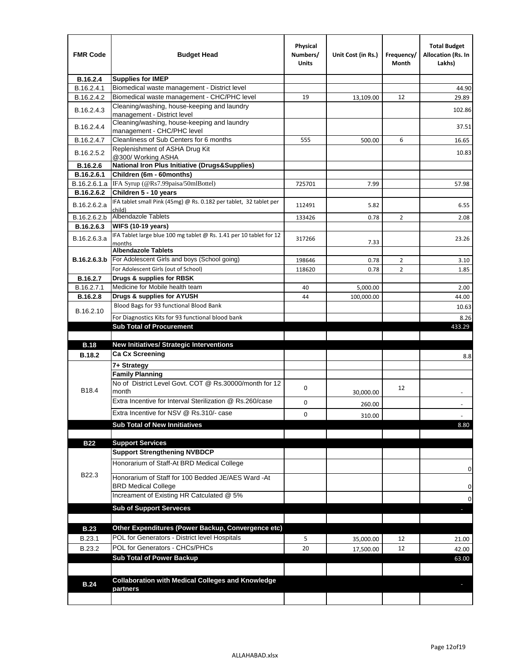| <b>FMR Code</b> | <b>Budget Head</b>                                                           | Physical<br>Numbers/<br><b>Units</b> | Unit Cost (in Rs.) | Frequency/<br>Month | <b>Total Budget</b><br>Allocation (Rs. In<br>Lakhs) |
|-----------------|------------------------------------------------------------------------------|--------------------------------------|--------------------|---------------------|-----------------------------------------------------|
| B.16.2.4        | <b>Supplies for IMEP</b>                                                     |                                      |                    |                     |                                                     |
| B.16.2.4.1      | Biomedical waste management - District level                                 |                                      |                    |                     | 44.90                                               |
| B.16.2.4.2      | Biomedical waste management - CHC/PHC level                                  | 19                                   | 13,109.00          | 12                  | 29.89                                               |
| B.16.2.4.3      | Cleaning/washing, house-keeping and laundry<br>management - District level   |                                      |                    |                     | 102.86                                              |
| B.16.2.4.4      | Cleaning/washing, house-keeping and laundry<br>management - CHC/PHC level    |                                      |                    |                     | 37.51                                               |
| B.16.2.4.7      | Cleanliness of Sub Centers for 6 months                                      | 555                                  | 500.00             | 6                   | 16.65                                               |
| B.16.2.5.2      | Replenishment of ASHA Drug Kit<br>@300/ Working ASHA                         |                                      |                    |                     | 10.83                                               |
| B.16.2.6        | <b>National Iron Plus Initiative (Drugs&amp;Supplies)</b>                    |                                      |                    |                     |                                                     |
| B.16.2.6.1      | Children (6m - 60months)                                                     |                                      |                    |                     |                                                     |
| B.16.2.6.1.a    | IFA Syrup (@Rs7.99paisa/50mlBottel)                                          | 725701                               | 7.99               |                     | 57.98                                               |
| B.16.2.6.2      | Children 5 - 10 years                                                        |                                      |                    |                     |                                                     |
| B.16.2.6.2.a    | IFA tablet small Pink (45mg) @ Rs. 0.182 per tablet, 32 tablet per<br>child) | 112491                               | 5.82               |                     | 6.55                                                |
| B.16.2.6.2.b    | Albendazole Tablets                                                          | 133426                               | 0.78               | 2                   | 2.08                                                |
| B.16.2.6.3      | <b>WIFS (10-19 years)</b>                                                    |                                      |                    |                     |                                                     |
| B.16.2.6.3.a    | IFA Tablet large blue 100 mg tablet @ Rs. 1.41 per 10 tablet for 12          | 317266                               |                    |                     | 23.26                                               |
|                 | months<br><b>Albendazole Tablets</b>                                         |                                      | 7.33               |                     |                                                     |
| B.16.2.6.3.b    | For Adolescent Girls and boys (School going)                                 | 198646                               | 0.78               | $\overline{2}$      | 3.10                                                |
|                 | For Adolescent Girls (out of School)                                         | 118620                               | 0.78               | $\overline{2}$      | 1.85                                                |
| B.16.2.7        | Drugs & supplies for RBSK                                                    |                                      |                    |                     |                                                     |
| B.16.2.7.1      | Medicine for Mobile health team                                              | 40                                   | 5,000.00           |                     | 2.00                                                |
| <b>B.16.2.8</b> | Drugs & supplies for AYUSH                                                   | 44                                   | 100,000.00         |                     | 44.00                                               |
|                 | Blood Bags for 93 functional Blood Bank                                      |                                      |                    |                     | 10.63                                               |
| B.16.2.10       | For Diagnostics Kits for 93 functional blood bank                            |                                      |                    |                     | 8.26                                                |
|                 | <b>Sub Total of Procurement</b>                                              |                                      |                    |                     | 433.29                                              |
|                 |                                                                              |                                      |                    |                     |                                                     |
| <b>B.18</b>     | <b>New Initiatives/ Strategic Interventions</b>                              |                                      |                    |                     |                                                     |
| <b>B.18.2</b>   | <b>Ca Cx Screening</b>                                                       |                                      |                    |                     | 8.8                                                 |
|                 | 7+ Strategy                                                                  |                                      |                    |                     |                                                     |
|                 | <b>Family Planning</b>                                                       |                                      |                    |                     |                                                     |
| B18.4           | No of District Level Govt. COT @ Rs.30000/month for 12<br>month              | 0                                    | 30,000.00          | 12                  |                                                     |
|                 | Extra Incentive for Interval Sterilization @ Rs.260/case                     | 0                                    | 260.00             |                     |                                                     |
|                 | Extra Incentive for NSV @ Rs.310/- case                                      | 0                                    |                    |                     |                                                     |
|                 |                                                                              |                                      | 310.00             |                     |                                                     |
|                 | <b>Sub Total of New Innitiatives</b>                                         |                                      |                    |                     | 8.80                                                |
| <b>B22</b>      | <b>Support Services</b>                                                      |                                      |                    |                     |                                                     |
|                 | <b>Support Strengthening NVBDCP</b>                                          |                                      |                    |                     |                                                     |
|                 | Honorarium of Staff-At BRD Medical College                                   |                                      |                    |                     |                                                     |
| B22.3           | Honorarium of Staff for 100 Bedded JE/AES Ward -At                           |                                      |                    |                     | 0                                                   |
|                 | <b>BRD Medical College</b><br>Increament of Existing HR Catculated @ 5%      |                                      |                    |                     | 0                                                   |
|                 | <b>Sub of Support Serveces</b>                                               |                                      |                    |                     | 0                                                   |
|                 |                                                                              |                                      |                    |                     |                                                     |
|                 | Other Expenditures (Power Backup, Convergence etc)                           |                                      |                    |                     |                                                     |
| <b>B.23</b>     | POL for Generators - District level Hospitals                                |                                      |                    |                     |                                                     |
| B.23.1          |                                                                              | 5                                    | 35,000.00          | 12                  | 21.00                                               |
| B.23.2          | POL for Generators - CHCs/PHCs                                               | 20                                   | 17,500.00          | 12                  | 42.00                                               |
|                 | <b>Sub Total of Power Backup</b>                                             |                                      |                    |                     | 63.00                                               |
|                 |                                                                              |                                      |                    |                     |                                                     |
| <b>B.24</b>     | <b>Collaboration with Medical Colleges and Knowledge</b>                     |                                      |                    |                     |                                                     |
|                 | partners                                                                     |                                      |                    |                     |                                                     |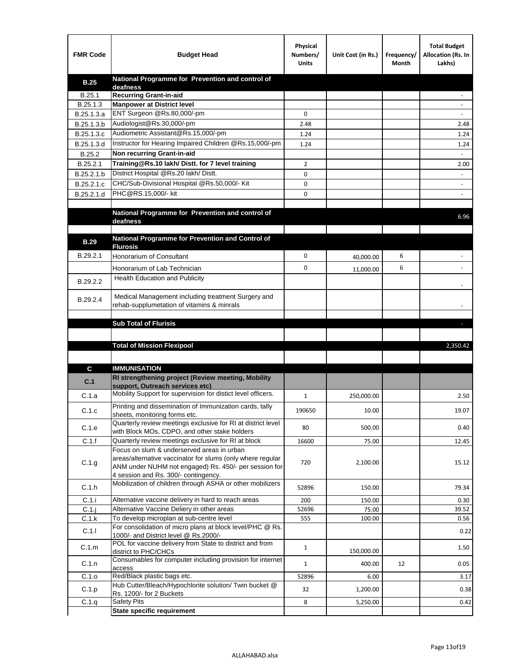| <b>FMR Code</b> | <b>Budget Head</b>                                                                                            | Physical<br>Numbers/<br><b>Units</b> | Unit Cost (in Rs.) | Frequency/<br>Month | <b>Total Budget</b><br>Allocation (Rs. In<br>Lakhs) |
|-----------------|---------------------------------------------------------------------------------------------------------------|--------------------------------------|--------------------|---------------------|-----------------------------------------------------|
| <b>B.25</b>     | National Programme for Prevention and control of                                                              |                                      |                    |                     |                                                     |
| B.25.1          | deafness<br><b>Recurring Grant-in-aid</b>                                                                     |                                      |                    |                     |                                                     |
| B.25.1.3        | <b>Manpower at District level</b>                                                                             |                                      |                    |                     |                                                     |
| B.25.1.3.a      | ENT Surgeon @Rs.80,000/-pm                                                                                    | 0                                    |                    |                     |                                                     |
| B.25.1.3.b      | Audiologist@Rs.30,000/-pm                                                                                     | 2.48                                 |                    |                     | 2.48                                                |
| B.25.1.3.c      | Audiometric Assistant@Rs.15,000/-pm                                                                           | 1.24                                 |                    |                     | 1.24                                                |
| B.25.1.3.d      | Instructor for Hearing Impaired Children @Rs.15,000/-pm                                                       | 1.24                                 |                    |                     | 1.24                                                |
| B.25.2          | Non recurring Grant-in-aid                                                                                    |                                      |                    |                     |                                                     |
| B.25.2.1        | Training@Rs.10 lakh/ Distt. for 7 level training                                                              | 2                                    |                    |                     | 2.00                                                |
| B.25.2.1.b      | District Hospital @Rs.20 lakh/Distt.                                                                          | 0                                    |                    |                     |                                                     |
| B.25.2.1.c      | CHC/Sub-Divisional Hospital @Rs.50,000/- Kit                                                                  | 0                                    |                    |                     |                                                     |
| B.25.2.1.d      | PHC@RS.15,000/- kit                                                                                           | 0                                    |                    |                     |                                                     |
|                 |                                                                                                               |                                      |                    |                     |                                                     |
|                 | National Programme for Prevention and control of<br>deafness                                                  |                                      |                    |                     | 6.96                                                |
|                 |                                                                                                               |                                      |                    |                     |                                                     |
| <b>B.29</b>     | National Programme for Prevention and Control of                                                              |                                      |                    |                     |                                                     |
|                 | <b>Flurosis</b>                                                                                               |                                      |                    |                     |                                                     |
| B.29.2.1        | <b>Honorarium of Consultant</b>                                                                               | 0                                    | 40,000.00          | 6                   |                                                     |
|                 | Honorarium of Lab Technician                                                                                  | 0                                    | 11,000.00          | 6                   |                                                     |
| B.29.2.2        | Health Education and Publicity                                                                                |                                      |                    |                     |                                                     |
|                 |                                                                                                               |                                      |                    |                     |                                                     |
| B.29.2.4        | Medical Management including treatment Surgery and<br>rehab-supplumetation of vitamins & minrals              |                                      |                    |                     |                                                     |
|                 |                                                                                                               |                                      |                    |                     |                                                     |
|                 | <b>Sub Total of Flurisis</b>                                                                                  |                                      |                    |                     | ы                                                   |
|                 |                                                                                                               |                                      |                    |                     |                                                     |
|                 | <b>Total of Mission Flexipool</b>                                                                             |                                      |                    |                     | 2,350.42                                            |
|                 |                                                                                                               |                                      |                    |                     |                                                     |
| C               | <b>IMMUNISATION</b>                                                                                           |                                      |                    |                     |                                                     |
|                 | RI strengthening project (Review meeting, Mobility                                                            |                                      |                    |                     |                                                     |
| C.1             | support, Outreach services etc)                                                                               |                                      |                    |                     |                                                     |
| C.1.a           | Mobility Support for supervision for distict level officers.                                                  | 1                                    | 250,000.00         |                     | 2.50                                                |
| C.1.c           | Printing and dissemination of Immunization cards, tally                                                       | 190650                               | 10.00              |                     | 19.07                                               |
|                 | sheets, monitoring forms etc.                                                                                 |                                      |                    |                     |                                                     |
| C.1.e           | Quarterly review meetings exclusive for RI at district level<br>with Block MOs, CDPO, and other stake holders | 80                                   | 500.00             |                     | 0.40                                                |
| C.1.f           | Quarterly review meetings exclusive for RI at block                                                           | 16600                                | 75.00              |                     | 12.45                                               |
|                 | Focus on slum & underserved areas in urban                                                                    |                                      |                    |                     |                                                     |
| C.1.g           | areas/alternative vaccinator for slums (only where regular                                                    | 720                                  | 2,100.00           |                     | 15.12                                               |
|                 | ANM under NUHM not engaged) Rs. 450/- per session for<br>4 session and Rs. 300/- contingency.                 |                                      |                    |                     |                                                     |
|                 | Mobilization of children through ASHA or other mobilizers                                                     |                                      |                    |                     |                                                     |
| C.1.h           |                                                                                                               | 52896                                | 150.00             |                     | 79.34                                               |
| C.1.i           | Alternative vaccine delivery in hard to reach areas                                                           | 200                                  | 150.00             |                     | 0.30                                                |
| $C.1$ .j        | Alternative Vaccine Deliery in other areas                                                                    | 52696                                | 75.00              |                     | 39.52                                               |
| C.1.k           | To develop microplan at sub-centre level<br>For consolidation of micro plans at block level/PHC @ Rs.         | 555                                  | 100.00             |                     | 0.56                                                |
| C.1.1           | 1000/- and District level @ Rs.2000/-                                                                         |                                      |                    |                     | 0.22                                                |
| C.1.m           | POL for vaccine delivery from State to district and from                                                      | $\mathbf{1}$                         |                    |                     | 1.50                                                |
|                 | district to PHC/CHCs<br>Consumables for computer including provision for internet                             |                                      | 150,000.00         |                     |                                                     |
| C.1.n           | access                                                                                                        | $\mathbf{1}$                         | 400.00             | 12                  | 0.05                                                |
| C.1.o           | Red/Black plastic bags etc.                                                                                   | 52896                                | 6.00               |                     | 3.17                                                |
| C.1.p           | Hub Cutter/Bleach/Hypochlorite solution/ Twin bucket @                                                        | 32                                   | 1,200.00           |                     | 0.38                                                |
|                 | Rs. 1200/- for 2 Buckets                                                                                      | 8                                    |                    |                     |                                                     |
| C.1.q           | <b>Safety Pits</b><br><b>State specific requirement</b>                                                       |                                      | 5,250.00           |                     | 0.42                                                |
|                 |                                                                                                               |                                      |                    |                     |                                                     |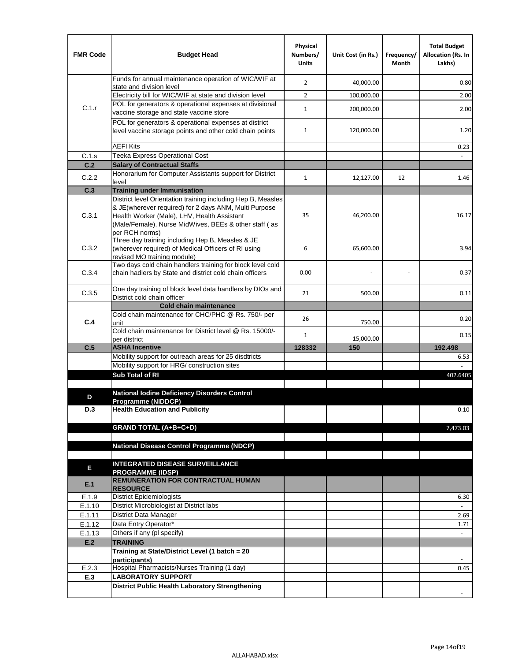| <b>FMR Code</b> | <b>Budget Head</b>                                                                                                                                                              | Physical<br>Numbers/<br><b>Units</b> | Unit Cost (in Rs.) | Frequency/<br>Month | <b>Total Budget</b><br><b>Allocation (Rs. In</b><br>Lakhs) |
|-----------------|---------------------------------------------------------------------------------------------------------------------------------------------------------------------------------|--------------------------------------|--------------------|---------------------|------------------------------------------------------------|
|                 | Funds for annual maintenance operation of WIC/WIF at                                                                                                                            | $\overline{2}$                       | 40,000.00          |                     | 0.80                                                       |
|                 | state and division level<br>Electricity bill for WIC/WIF at state and division level                                                                                            | $\overline{2}$                       | 100,000.00         |                     | 2.00                                                       |
| C.1.r           | POL for generators & operational expenses at divisional                                                                                                                         |                                      |                    |                     |                                                            |
|                 | vaccine storage and state vaccine store                                                                                                                                         | $\mathbf{1}$                         | 200,000.00         |                     | 2.00                                                       |
|                 | POL for generators & operational expenses at district<br>level vaccine storage points and other cold chain points                                                               | $\mathbf{1}$                         | 120,000.00         |                     | 1.20                                                       |
|                 | <b>AEFI Kits</b>                                                                                                                                                                |                                      |                    |                     | 0.23                                                       |
| C.1.s           | Teeka Express Operational Cost                                                                                                                                                  |                                      |                    |                     |                                                            |
| C.2             | <b>Salary of Contractual Staffs</b>                                                                                                                                             |                                      |                    |                     |                                                            |
| C.2.2           | Honorarium for Computer Assistants support for District<br>level                                                                                                                | $\mathbf{1}$                         | 12,127.00          | 12                  | 1.46                                                       |
| C.3             | <b>Training under Immunisation</b>                                                                                                                                              |                                      |                    |                     |                                                            |
|                 | District level Orientation training including Hep B, Measles                                                                                                                    |                                      |                    |                     |                                                            |
| C.3.1           | & JE(wherever required) for 2 days ANM, Multi Purpose<br>Health Worker (Male), LHV, Health Assistant<br>(Male/Female), Nurse MidWives, BEEs & other staff (as<br>per RCH norms) | 35                                   | 46,200.00          |                     | 16.17                                                      |
| C.3.2           | Three day training including Hep B, Measles & JE<br>(wherever required) of Medical Officers of RI using<br>revised MO training module)                                          | 6                                    | 65,600.00          |                     | 3.94                                                       |
| C.3.4           | Two days cold chain handlers training for block level cold<br>chain hadlers by State and district cold chain officers                                                           | 0.00                                 |                    |                     | 0.37                                                       |
| C.3.5           | One day training of block level data handlers by DIOs and<br>District cold chain officer                                                                                        | 21                                   | 500.00             |                     | 0.11                                                       |
|                 | <b>Cold chain maintenance</b>                                                                                                                                                   |                                      |                    |                     |                                                            |
| C.4             | Cold chain maintenance for CHC/PHC @ Rs. 750/- per<br>unit                                                                                                                      | 26                                   | 750.00             |                     | 0.20                                                       |
|                 | Cold chain maintenance for District level @ Rs. 15000/-<br>per district                                                                                                         | $\mathbf{1}$                         | 15,000.00          |                     | 0.15                                                       |
| C.5             | <b>ASHA Incentive</b>                                                                                                                                                           | 128332                               | 150                |                     | 192.498                                                    |
|                 | Mobility support for outreach areas for 25 disdtricts                                                                                                                           |                                      |                    |                     | 6.53                                                       |
|                 | Mobility support for HRG/ construction sites                                                                                                                                    |                                      |                    |                     |                                                            |
|                 | Sub Total of RI                                                                                                                                                                 |                                      |                    |                     | 402.6405                                                   |
|                 | <b>National Iodine Deficiency Disorders Control</b>                                                                                                                             |                                      |                    |                     |                                                            |
| D               | Programme (NIDDCP)                                                                                                                                                              |                                      |                    |                     |                                                            |
| D.3             | <b>Health Education and Publicity</b>                                                                                                                                           |                                      |                    |                     | 0.10                                                       |
|                 |                                                                                                                                                                                 |                                      |                    |                     |                                                            |
|                 | <b>GRAND TOTAL (A+B+C+D)</b>                                                                                                                                                    |                                      |                    |                     | 7,473.03                                                   |
|                 | <b>National Disease Control Programme (NDCP)</b>                                                                                                                                |                                      |                    |                     |                                                            |
|                 |                                                                                                                                                                                 |                                      |                    |                     |                                                            |
| Е               | <b>INTEGRATED DISEASE SURVEILLANCE</b>                                                                                                                                          |                                      |                    |                     |                                                            |
| E.1             | <b>PROGRAMME (IDSP)</b><br><b>REMUNERATION FOR CONTRACTUAL HUMAN</b><br><b>RESOURCE</b>                                                                                         |                                      |                    |                     |                                                            |
| E.1.9           | District Epidemiologists                                                                                                                                                        |                                      |                    |                     | 6.30                                                       |
| E.1.10          | District Microbiologist at District labs                                                                                                                                        |                                      |                    |                     |                                                            |
| E.1.11          | District Data Manager                                                                                                                                                           |                                      |                    |                     | 2.69                                                       |
| E.1.12          | Data Entry Operator*                                                                                                                                                            |                                      |                    |                     | 1.71                                                       |
| E.1.13          | Others if any (pl specify)<br><b>TRAINING</b>                                                                                                                                   |                                      |                    |                     | $\omega$                                                   |
| E.2             | Training at State/District Level (1 batch = 20                                                                                                                                  |                                      |                    |                     |                                                            |
|                 | participants)                                                                                                                                                                   |                                      |                    |                     |                                                            |
| E.2.3           | Hospital Pharmacists/Nurses Training (1 day)                                                                                                                                    |                                      |                    |                     | 0.45                                                       |
| E.3             | <b>LABORATORY SUPPORT</b>                                                                                                                                                       |                                      |                    |                     |                                                            |
|                 | <b>District Public Health Laboratory Strengthening</b>                                                                                                                          |                                      |                    |                     |                                                            |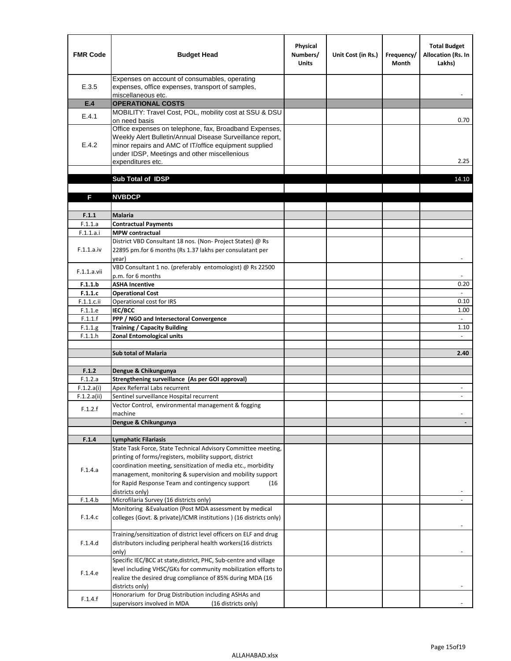| <b>FMR Code</b>    | <b>Budget Head</b>                                                                                                                                                                                                                                | Physical<br>Numbers/<br><b>Units</b> | Unit Cost (in Rs.) | Frequency/<br><b>Month</b> | <b>Total Budget</b><br>Allocation (Rs. In<br>Lakhs) |
|--------------------|---------------------------------------------------------------------------------------------------------------------------------------------------------------------------------------------------------------------------------------------------|--------------------------------------|--------------------|----------------------------|-----------------------------------------------------|
| E.3.5              | Expenses on account of consumables, operating<br>expenses, office expenses, transport of samples,<br>miscellaneous etc.                                                                                                                           |                                      |                    |                            |                                                     |
| E.4                | <b>OPERATIONAL COSTS</b>                                                                                                                                                                                                                          |                                      |                    |                            |                                                     |
| E.4.1              | MOBILITY: Travel Cost, POL, mobility cost at SSU & DSU                                                                                                                                                                                            |                                      |                    |                            |                                                     |
|                    | on need basis                                                                                                                                                                                                                                     |                                      |                    |                            | 0.70                                                |
| E.4.2              | Office expenses on telephone, fax, Broadband Expenses,<br>Weekly Alert Bulletin/Annual Disease Surveillance report,<br>minor repairs and AMC of IT/office equipment supplied<br>under IDSP, Meetings and other miscellenious<br>expenditures etc. |                                      |                    |                            | 2.25                                                |
|                    | Sub Total of IDSP                                                                                                                                                                                                                                 |                                      |                    |                            | 14.10                                               |
|                    |                                                                                                                                                                                                                                                   |                                      |                    |                            |                                                     |
| F                  | <b>NVBDCP</b>                                                                                                                                                                                                                                     |                                      |                    |                            |                                                     |
|                    |                                                                                                                                                                                                                                                   |                                      |                    |                            |                                                     |
| F.1.1              | <b>Malaria</b>                                                                                                                                                                                                                                    |                                      |                    |                            |                                                     |
| F.1.1.a            | <b>Contractual Payments</b>                                                                                                                                                                                                                       |                                      |                    |                            |                                                     |
| F.1.1.a.i          | <b>MPW</b> contractual<br>District VBD Consultant 18 nos. (Non-Project States) @ Rs                                                                                                                                                               |                                      |                    |                            |                                                     |
| F.1.1.a.iv         | 22895 pm.for 6 months (Rs 1.37 lakhs per consulatant per<br>year)                                                                                                                                                                                 |                                      |                    |                            | $\overline{\phantom{a}}$                            |
|                    | VBD Consultant 1 no. (preferably entomologist) @ Rs 22500                                                                                                                                                                                         |                                      |                    |                            |                                                     |
| F.1.1.a.vii        | p.m. for 6 months                                                                                                                                                                                                                                 |                                      |                    |                            |                                                     |
| F.1.1.b            | <b>ASHA Incentive</b>                                                                                                                                                                                                                             |                                      |                    |                            | 0.20                                                |
| F.1.1.c            | <b>Operational Cost</b>                                                                                                                                                                                                                           |                                      |                    |                            |                                                     |
| $F.1.1.c.$ ii      | Operational cost for IRS                                                                                                                                                                                                                          |                                      |                    |                            | 0.10                                                |
| F.1.1.e<br>F.1.1.f | <b>IEC/BCC</b><br>PPP / NGO and Intersectoral Convergence                                                                                                                                                                                         |                                      |                    |                            | 1.00<br>$\omega$                                    |
| F.1.1.g            | <b>Training / Capacity Building</b>                                                                                                                                                                                                               |                                      |                    |                            | 1.10                                                |
| F.1.1.h            | <b>Zonal Entomological units</b>                                                                                                                                                                                                                  |                                      |                    |                            |                                                     |
|                    |                                                                                                                                                                                                                                                   |                                      |                    |                            |                                                     |
|                    | <b>Sub total of Malaria</b>                                                                                                                                                                                                                       |                                      |                    |                            | 2.40                                                |
|                    |                                                                                                                                                                                                                                                   |                                      |                    |                            |                                                     |
| F.1.2<br>F.1.2.a   | Dengue & Chikungunya<br>Strengthening surveillance (As per GOI approval)                                                                                                                                                                          |                                      |                    |                            |                                                     |
| F.1.2.a(i)         | Apex Referral Labs recurrent                                                                                                                                                                                                                      |                                      |                    |                            |                                                     |
| F.1.2.a(ii)        | Sentinel surveillance Hospital recurrent                                                                                                                                                                                                          |                                      |                    |                            | $\sim$                                              |
| F.1.2.f            | Vector Control, environmental management & fogging<br>machine                                                                                                                                                                                     |                                      |                    |                            |                                                     |
|                    | Dengue & Chikungunya                                                                                                                                                                                                                              |                                      |                    |                            |                                                     |
|                    |                                                                                                                                                                                                                                                   |                                      |                    |                            |                                                     |
| F.1.4              | <b>Lymphatic Filariasis</b>                                                                                                                                                                                                                       |                                      |                    |                            |                                                     |
|                    | State Task Force, State Technical Advisory Committee meeting,                                                                                                                                                                                     |                                      |                    |                            |                                                     |
|                    | printing of forms/registers, mobility support, district<br>coordination meeting, sensitization of media etc., morbidity                                                                                                                           |                                      |                    |                            |                                                     |
| F.1.4.a            | management, monitoring & supervision and mobility support                                                                                                                                                                                         |                                      |                    |                            |                                                     |
|                    | for Rapid Response Team and contingency support<br>(16)                                                                                                                                                                                           |                                      |                    |                            |                                                     |
|                    | districts only)                                                                                                                                                                                                                                   |                                      |                    |                            |                                                     |
| F.1.4.b            | Microfilaria Survey (16 districts only)                                                                                                                                                                                                           |                                      |                    |                            |                                                     |
| F.1.4.c            | Monitoring & Evaluation (Post MDA assessment by medical<br>colleges (Govt. & private)/ICMR institutions ) (16 districts only)                                                                                                                     |                                      |                    |                            |                                                     |
|                    | Training/sensitization of district level officers on ELF and drug                                                                                                                                                                                 |                                      |                    |                            |                                                     |
| F.1.4.d            | distributors including peripheral health workers(16 districts                                                                                                                                                                                     |                                      |                    |                            |                                                     |
|                    | only)<br>Specific IEC/BCC at state, district, PHC, Sub-centre and village                                                                                                                                                                         |                                      |                    |                            |                                                     |
| F.1.4.e            | level including VHSC/GKs for community mobilization efforts to<br>realize the desired drug compliance of 85% during MDA (16                                                                                                                       |                                      |                    |                            |                                                     |
|                    | districts only)                                                                                                                                                                                                                                   |                                      |                    |                            |                                                     |
| F.1.4.f            | Honorarium for Drug Distribution including ASHAs and<br>supervisors involved in MDA<br>(16 districts only)                                                                                                                                        |                                      |                    |                            |                                                     |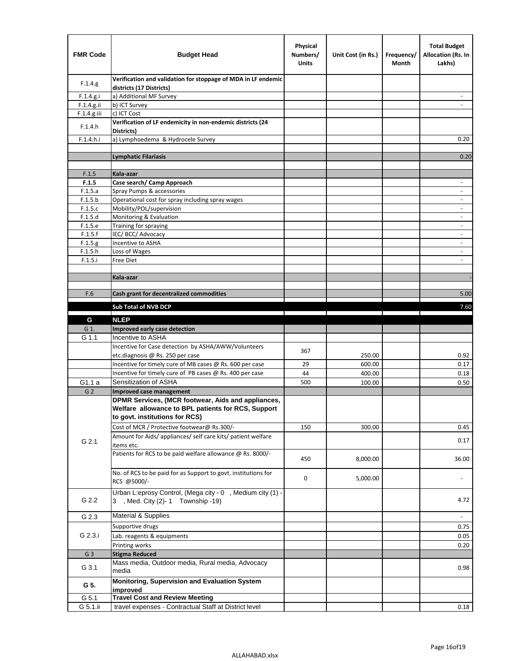| <b>FMR Code</b> | <b>Budget Head</b>                                                                                                                         | Physical<br>Numbers/<br><b>Units</b> | Unit Cost (in Rs.)                                                              | Frequency/<br>Month                 | <b>Total Budget</b><br><b>Allocation (Rs. In</b><br>Lakhs) |
|-----------------|--------------------------------------------------------------------------------------------------------------------------------------------|--------------------------------------|---------------------------------------------------------------------------------|-------------------------------------|------------------------------------------------------------|
| F.1.4.g.        | Verification and validation for stoppage of MDA in LF endemic<br>districts (17 Districts)                                                  |                                      |                                                                                 |                                     |                                                            |
| F.1.4.g.i       | a) Additional MF Survey                                                                                                                    |                                      |                                                                                 |                                     |                                                            |
| F.1.4.g.ii      | b) ICT Survey                                                                                                                              |                                      |                                                                                 |                                     |                                                            |
| $F.1.4.g.$ iii  | c) ICT Cost                                                                                                                                |                                      |                                                                                 |                                     |                                                            |
| F.1.4.h         | Verification of LF endemicity in non-endemic districts (24<br>Districts)                                                                   |                                      |                                                                                 |                                     |                                                            |
| F.1.4.h.i       | a) Lymphoedema & Hydrocele Survey                                                                                                          |                                      |                                                                                 |                                     | 0.20                                                       |
|                 | <b>Lymphatic Filariasis</b>                                                                                                                |                                      |                                                                                 |                                     | 0.20                                                       |
|                 |                                                                                                                                            |                                      |                                                                                 |                                     |                                                            |
| F.1.5           | Kala-azar                                                                                                                                  |                                      |                                                                                 |                                     |                                                            |
| F.1.5           | Case search/ Camp Approach                                                                                                                 |                                      |                                                                                 |                                     | $\overline{\phantom{a}}$                                   |
| F.1.5.a         | Spray Pumps & accessories                                                                                                                  |                                      |                                                                                 |                                     | $\overline{\phantom{a}}$                                   |
| F.1.5.b         | Operational cost for spray including spray wages                                                                                           |                                      |                                                                                 |                                     |                                                            |
| F.1.5.c         | Mobility/POL/supervision                                                                                                                   |                                      |                                                                                 |                                     | $\blacksquare$                                             |
| F.1.5.d         | Monitoring & Evaluation                                                                                                                    |                                      |                                                                                 |                                     | $\overline{\phantom{a}}$                                   |
| F.1.5.e         | Training for spraying                                                                                                                      |                                      |                                                                                 |                                     | $\overline{\phantom{a}}$                                   |
| F.1.5.f         | IEC/BCC/Advocacy                                                                                                                           |                                      |                                                                                 |                                     |                                                            |
| F.1.5.g         | Incentive to ASHA                                                                                                                          |                                      |                                                                                 |                                     | $\overline{\phantom{a}}$                                   |
| F.1.5.h         | Loss of Wages                                                                                                                              |                                      |                                                                                 |                                     | $\overline{\phantom{a}}$                                   |
| F.1.5.i         | Free Diet                                                                                                                                  |                                      |                                                                                 |                                     |                                                            |
|                 | Kala-azar                                                                                                                                  |                                      |                                                                                 |                                     |                                                            |
|                 |                                                                                                                                            |                                      |                                                                                 |                                     |                                                            |
| F.6             | Cash grant for decentralized commodities                                                                                                   |                                      |                                                                                 |                                     | 5.00                                                       |
|                 | Sub Total of NVB DCP                                                                                                                       |                                      |                                                                                 |                                     | 7.60                                                       |
|                 |                                                                                                                                            |                                      | the contract of the contract of the contract of the contract of the contract of | and the contract of the contract of |                                                            |
| G               | <b>NLEP</b>                                                                                                                                |                                      |                                                                                 |                                     |                                                            |
| G 1.            | Improved early case detection                                                                                                              |                                      |                                                                                 |                                     |                                                            |
| G 1.1           | Incentive to ASHA                                                                                                                          |                                      |                                                                                 |                                     |                                                            |
|                 | Incentive for Case detection by ASHA/AWW/Volunteers                                                                                        | 367                                  |                                                                                 |                                     |                                                            |
|                 | etc.diagnosis @ Rs. 250 per case                                                                                                           |                                      | 250.00                                                                          |                                     | 0.92                                                       |
|                 | Incentive for timely cure of MB cases @ Rs. 600 per case                                                                                   | 29                                   | 600.00                                                                          |                                     | 0.17                                                       |
|                 | Incentive for timely cure of PB cases @ Rs. 400 per case                                                                                   | 44                                   | 400.00                                                                          |                                     | 0.18                                                       |
| G1.1 a          | Sensitization of ASHA                                                                                                                      | 500                                  | 100.00                                                                          |                                     | 0.50                                                       |
| G <sub>2</sub>  | Improved case management                                                                                                                   |                                      |                                                                                 |                                     |                                                            |
|                 | DPMR Services, (MCR footwear, Aids and appliances,<br>Welfare allowance to BPL patients for RCS, Support<br>to govt. institutions for RCS) |                                      |                                                                                 |                                     |                                                            |
|                 | Cost of MCR / Protective footwear@ Rs.300/-                                                                                                | 150                                  | 300.00                                                                          |                                     | 0.45                                                       |
| G 2.1           | Amount for Aids/ appliances/ self care kits/ patient welfare<br>items etc.                                                                 |                                      |                                                                                 |                                     | 0.17                                                       |
|                 | Patients for RCS to be paid welfare allowance @ Rs. 8000/-                                                                                 | 450                                  | 8,000.00                                                                        |                                     | 36.00                                                      |
|                 | No. of RCS to be paid for as Support to govt. institutions for<br>RCS @5000/-                                                              | 0                                    | 5,000.00                                                                        |                                     |                                                            |
| G 2.2           | Urban L:eprosy Control, (Mega city - 0, Medium city (1) -<br>3 , Med. City (2)-1 Township -19)                                             |                                      |                                                                                 |                                     | 4.72                                                       |
| G 2.3           | <b>Material &amp; Supplies</b>                                                                                                             |                                      |                                                                                 |                                     | $\blacksquare$                                             |
|                 | Supportive drugs                                                                                                                           |                                      |                                                                                 |                                     | 0.75                                                       |
| G 2.3.i         | Lab. reagents & equipments                                                                                                                 |                                      |                                                                                 |                                     | 0.05                                                       |
|                 | Printing works                                                                                                                             |                                      |                                                                                 |                                     | 0.20                                                       |
| G <sub>3</sub>  | <b>Stigma Reduced</b>                                                                                                                      |                                      |                                                                                 |                                     |                                                            |
|                 | Mass media, Outdoor media, Rural media, Advocacy                                                                                           |                                      |                                                                                 |                                     |                                                            |
| G 3.1           | media                                                                                                                                      |                                      |                                                                                 |                                     | 0.98                                                       |
| G 5.            | Monitoring, Supervision and Evaluation System<br>improved                                                                                  |                                      |                                                                                 |                                     |                                                            |
| G 5.1           | <b>Travel Cost and Review Meeting</b>                                                                                                      |                                      |                                                                                 |                                     |                                                            |
| G 5.1.ii        | travel expenses - Contractual Staff at District level                                                                                      |                                      |                                                                                 |                                     | 0.18                                                       |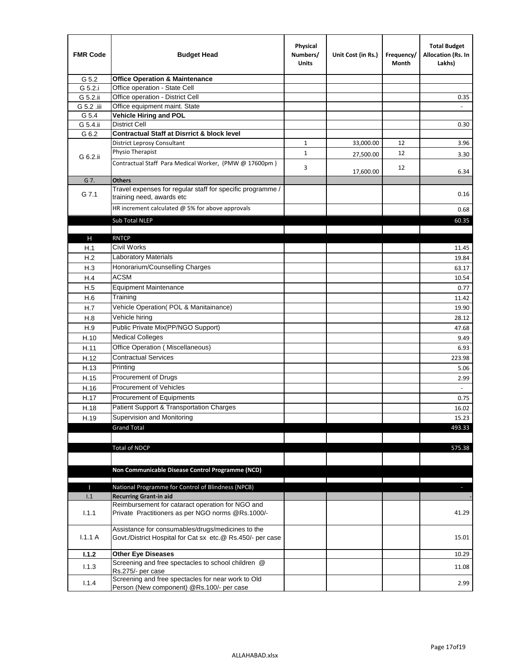| <b>FMR Code</b> | <b>Budget Head</b>                                                                                              | Physical<br>Numbers/<br><b>Units</b> | Unit Cost (in Rs.) | Frequency/<br>Month | <b>Total Budget</b><br>Allocation (Rs. In<br>Lakhs) |
|-----------------|-----------------------------------------------------------------------------------------------------------------|--------------------------------------|--------------------|---------------------|-----------------------------------------------------|
| G 5.2           | <b>Office Operation &amp; Maintenance</b>                                                                       |                                      |                    |                     |                                                     |
| G 5.2.i         | Office operation - State Cell                                                                                   |                                      |                    |                     |                                                     |
| G 5.2.ii        | Office operation - District Cell                                                                                |                                      |                    |                     | 0.35                                                |
| G 5.2 .iii      | Office equipment maint. State                                                                                   |                                      |                    |                     |                                                     |
| G 5.4           | <b>Vehicle Hiring and POL</b>                                                                                   |                                      |                    |                     |                                                     |
| G 5.4.ii        | <b>District Cell</b>                                                                                            |                                      |                    |                     | 0.30                                                |
| G 6.2           | <b>Contractual Staff at Disrrict &amp; block level</b>                                                          |                                      |                    |                     |                                                     |
|                 | <b>District Leprosy Consultant</b>                                                                              | 1                                    | 33,000.00          | 12                  | 3.96                                                |
| G 6.2.ii        | Physio Therapist                                                                                                | $\mathbf{1}$                         | 27,500.00          | 12                  | 3.30                                                |
|                 | Contractual Staff Para Medical Worker, (PMW @ 17600pm)                                                          | 3                                    | 17,600.00          | 12                  | 6.34                                                |
| G 7.            | <b>Others</b>                                                                                                   |                                      |                    |                     |                                                     |
| G 7.1           | Travel expenses for regular staff for specific programme /<br>training need, awards etc                         |                                      |                    |                     | 0.16                                                |
|                 | HR increment calculated $\omega$ 5% for above approvals                                                         |                                      |                    |                     | 0.68                                                |
|                 | Sub Total NLEP                                                                                                  |                                      |                    |                     | 60.35                                               |
|                 |                                                                                                                 |                                      |                    |                     |                                                     |
| Н               | <b>RNTCP</b>                                                                                                    |                                      |                    |                     |                                                     |
| H.1             | Civil Works                                                                                                     |                                      |                    |                     | 11.45                                               |
| H.2             | <b>Laboratory Materials</b>                                                                                     |                                      |                    |                     | 19.84                                               |
| H.3             | Honorarium/Counselling Charges                                                                                  |                                      |                    |                     | 63.17                                               |
| H.4             | <b>ACSM</b>                                                                                                     |                                      |                    |                     | 10.54                                               |
| H.5             | <b>Equipment Maintenance</b>                                                                                    |                                      |                    |                     | 0.77                                                |
| H.6             | Training                                                                                                        |                                      |                    |                     | 11.42                                               |
| H.7             | Vehicle Operation(POL & Manitainance)                                                                           |                                      |                    |                     | 19.90                                               |
| H.8             | Vehicle hiring                                                                                                  |                                      |                    |                     | 28.12                                               |
| H.9             | Public Private Mix(PP/NGO Support)                                                                              |                                      |                    |                     | 47.68                                               |
| H.10            | <b>Medical Colleges</b>                                                                                         |                                      |                    |                     | 9.49                                                |
| H.11            | Office Operation (Miscellaneous)                                                                                |                                      |                    |                     | 6.93                                                |
| H.12            | <b>Contractual Services</b>                                                                                     |                                      |                    |                     | 223.98                                              |
| H.13            | Printing                                                                                                        |                                      |                    |                     | 5.06                                                |
| H.15            | Procurement of Drugs                                                                                            |                                      |                    |                     | 2.99                                                |
| H.16            | Procurement of Vehicles                                                                                         |                                      |                    |                     |                                                     |
| H.17            | Procurement of Equipments                                                                                       |                                      |                    |                     | 0.75                                                |
| H.18            | Patient Support & Transportation Charges                                                                        |                                      |                    |                     | 16.02                                               |
| H.19            | Supervision and Monitoring                                                                                      |                                      |                    |                     | 15.23                                               |
|                 | <b>Grand Total</b>                                                                                              |                                      |                    |                     | 493.33                                              |
|                 |                                                                                                                 |                                      |                    |                     |                                                     |
|                 | <b>Total of NDCP</b>                                                                                            |                                      |                    |                     | 575.38                                              |
|                 | Non Communicable Disease Control Programme (NCD)                                                                |                                      |                    |                     |                                                     |
|                 |                                                                                                                 |                                      |                    |                     |                                                     |
| Т<br>1.1        | National Programme for Control of Blindness (NPCB)<br><b>Recurring Grant-in aid</b>                             |                                      |                    |                     | ÷.                                                  |
|                 | Reimbursement for cataract operation for NGO and                                                                |                                      |                    |                     |                                                     |
| 1.1.1           | Private Practitioners as per NGO norms @Rs.1000/-                                                               |                                      |                    |                     | 41.29                                               |
| 1.1.1A          | Assistance for consumables/drugs/medicines to the<br>Govt./District Hospital for Cat sx etc.@ Rs.450/- per case |                                      |                    |                     | 15.01                                               |
| 1.1.2           | <b>Other Eye Diseases</b>                                                                                       |                                      |                    |                     | 10.29                                               |
| 1.1.3           | Screening and free spectacles to school children @                                                              |                                      |                    |                     | 11.08                                               |
|                 | Rs.275/- per case                                                                                               |                                      |                    |                     |                                                     |
| 1.1.4           | Screening and free spectacles for near work to Old<br>Person (New component) @Rs.100/- per case                 |                                      |                    |                     | 2.99                                                |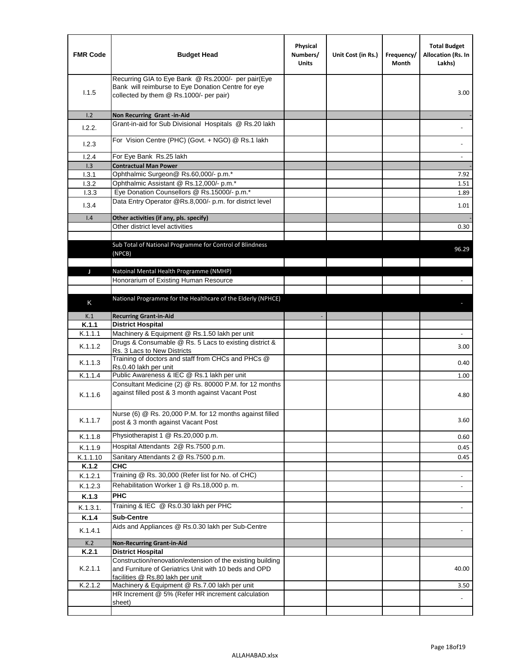| <b>FMR Code</b> | <b>Budget Head</b>                                                                                                                                      | Physical<br>Numbers/<br><b>Units</b> | Unit Cost (in Rs.) | Frequency/<br>Month | <b>Total Budget</b><br>Allocation (Rs. In<br>Lakhs) |
|-----------------|---------------------------------------------------------------------------------------------------------------------------------------------------------|--------------------------------------|--------------------|---------------------|-----------------------------------------------------|
| 1.1.5           | Recurring GIA to Eye Bank @ Rs.2000/- per pair(Eye<br>Bank will reimburse to Eye Donation Centre for eye<br>collected by them @ Rs.1000/- per pair)     |                                      |                    |                     | 3.00                                                |
| 1.2             | Non Recurring Grant -in-Aid                                                                                                                             |                                      |                    |                     |                                                     |
| 1.2.2.          | Grant-in-aid for Sub Divisional Hospitals @ Rs.20 lakh                                                                                                  |                                      |                    |                     |                                                     |
| 1.2.3           | For Vision Centre (PHC) (Govt. + NGO) @ Rs.1 lakh                                                                                                       |                                      |                    |                     |                                                     |
| 1.2.4           | For Eye Bank Rs.25 lakh                                                                                                                                 |                                      |                    |                     | $\blacksquare$                                      |
| 1.3             | <b>Contractual Man Power</b>                                                                                                                            |                                      |                    |                     |                                                     |
| 1.3.1           | Ophthalmic Surgeon@ Rs.60,000/- p.m.*                                                                                                                   |                                      |                    |                     | 7.92                                                |
| 1.3.2           | Ophthalmic Assistant @ Rs.12,000/- p.m.*                                                                                                                |                                      |                    |                     | 1.51                                                |
| 1.3.3           | Eye Donation Counsellors @ Rs.15000/- p.m.*<br>Data Entry Operator @Rs.8,000/- p.m. for district level                                                  |                                      |                    |                     | 1.89                                                |
| 1.3.4           |                                                                                                                                                         |                                      |                    |                     | 1.01                                                |
| 1.4             | Other activities (if any, pls. specify)<br>Other district level activities                                                                              |                                      |                    |                     |                                                     |
|                 |                                                                                                                                                         |                                      |                    |                     | 0.30                                                |
|                 | Sub Total of National Programme for Control of Blindness<br>(NPCB)                                                                                      |                                      |                    |                     | 96.29                                               |
| J               | Natoinal Mental Health Programme (NMHP)                                                                                                                 |                                      |                    |                     |                                                     |
|                 | Honorarium of Existing Human Resource                                                                                                                   |                                      |                    |                     |                                                     |
|                 |                                                                                                                                                         |                                      |                    |                     |                                                     |
|                 | National Programme for the Healthcare of the Elderly (NPHCE)                                                                                            |                                      |                    |                     |                                                     |
| Κ               |                                                                                                                                                         |                                      |                    |                     |                                                     |
| K.1             | <b>Recurring Grant-in-Aid</b>                                                                                                                           |                                      |                    |                     |                                                     |
| K.1.1           | <b>District Hospital</b>                                                                                                                                |                                      |                    |                     |                                                     |
| K.1.1.1         | Machinery & Equipment @ Rs.1.50 lakh per unit                                                                                                           |                                      |                    |                     |                                                     |
| K.1.1.2         | Drugs & Consumable @ Rs. 5 Lacs to existing district &<br>Rs. 3 Lacs to New Districts                                                                   |                                      |                    |                     | 3.00                                                |
| K.1.1.3         | Training of doctors and staff from CHCs and PHCs @<br>Rs.0.40 lakh per unit                                                                             |                                      |                    |                     | 0.40                                                |
| K.1.1.4         | Public Awareness & IEC @ Rs.1 lakh per unit                                                                                                             |                                      |                    |                     | 1.00                                                |
| K.1.1.6         | Consultant Medicine (2) @ Rs. 80000 P.M. for 12 months<br>against filled post & 3 month against Vacant Post                                             |                                      |                    |                     | 4.80                                                |
| K.1.1.7         | Nurse (6) @ Rs. 20,000 P.M. for 12 months against filled<br>post & 3 month against Vacant Post                                                          |                                      |                    |                     | 3.60                                                |
| K.1.1.8         | Physiotherapist 1 @ Rs.20,000 p.m.                                                                                                                      |                                      |                    |                     | 0.60                                                |
| K.1.1.9         | Hospital Attendants 2@ Rs.7500 p.m.                                                                                                                     |                                      |                    |                     | 0.45                                                |
| K.1.1.10        | Sanitary Attendants 2 @ Rs.7500 p.m.                                                                                                                    |                                      |                    |                     | 0.45                                                |
| K.1.2           | СНС                                                                                                                                                     |                                      |                    |                     |                                                     |
| K.1.2.1         | Training @ Rs. 30,000 (Refer list for No. of CHC)                                                                                                       |                                      |                    |                     |                                                     |
| K.1.2.3         | Rehabilitation Worker 1 @ Rs.18,000 p.m.                                                                                                                |                                      |                    |                     | $\overline{\phantom{a}}$                            |
| K.1.3           | <b>PHC</b>                                                                                                                                              |                                      |                    |                     |                                                     |
|                 |                                                                                                                                                         |                                      |                    |                     |                                                     |
| K.1.3.1.        | Training & IEC @ Rs.0.30 lakh per PHC                                                                                                                   |                                      |                    |                     |                                                     |
| K.1.4           | <b>Sub-Centre</b>                                                                                                                                       |                                      |                    |                     |                                                     |
| K.1.4.1         | Aids and Appliances @ Rs.0.30 lakh per Sub-Centre                                                                                                       |                                      |                    |                     |                                                     |
| K.2             | <b>Non-Recurring Grant-in-Aid</b>                                                                                                                       |                                      |                    |                     |                                                     |
| K.2.1           | <b>District Hospital</b>                                                                                                                                |                                      |                    |                     |                                                     |
| K.2.1.1         | Construction/renovation/extension of the existing building<br>and Furniture of Geriatrics Unit with 10 beds and OPD<br>facilities @ Rs.80 lakh per unit |                                      |                    |                     | 40.00                                               |
| K.2.1.2         | Machinery & Equipment @ Rs.7.00 lakh per unit                                                                                                           |                                      |                    |                     | 3.50                                                |
|                 | HR Increment @ 5% (Refer HR increment calculation                                                                                                       |                                      |                    |                     |                                                     |
|                 | sheet)                                                                                                                                                  |                                      |                    |                     |                                                     |
|                 |                                                                                                                                                         |                                      |                    |                     |                                                     |